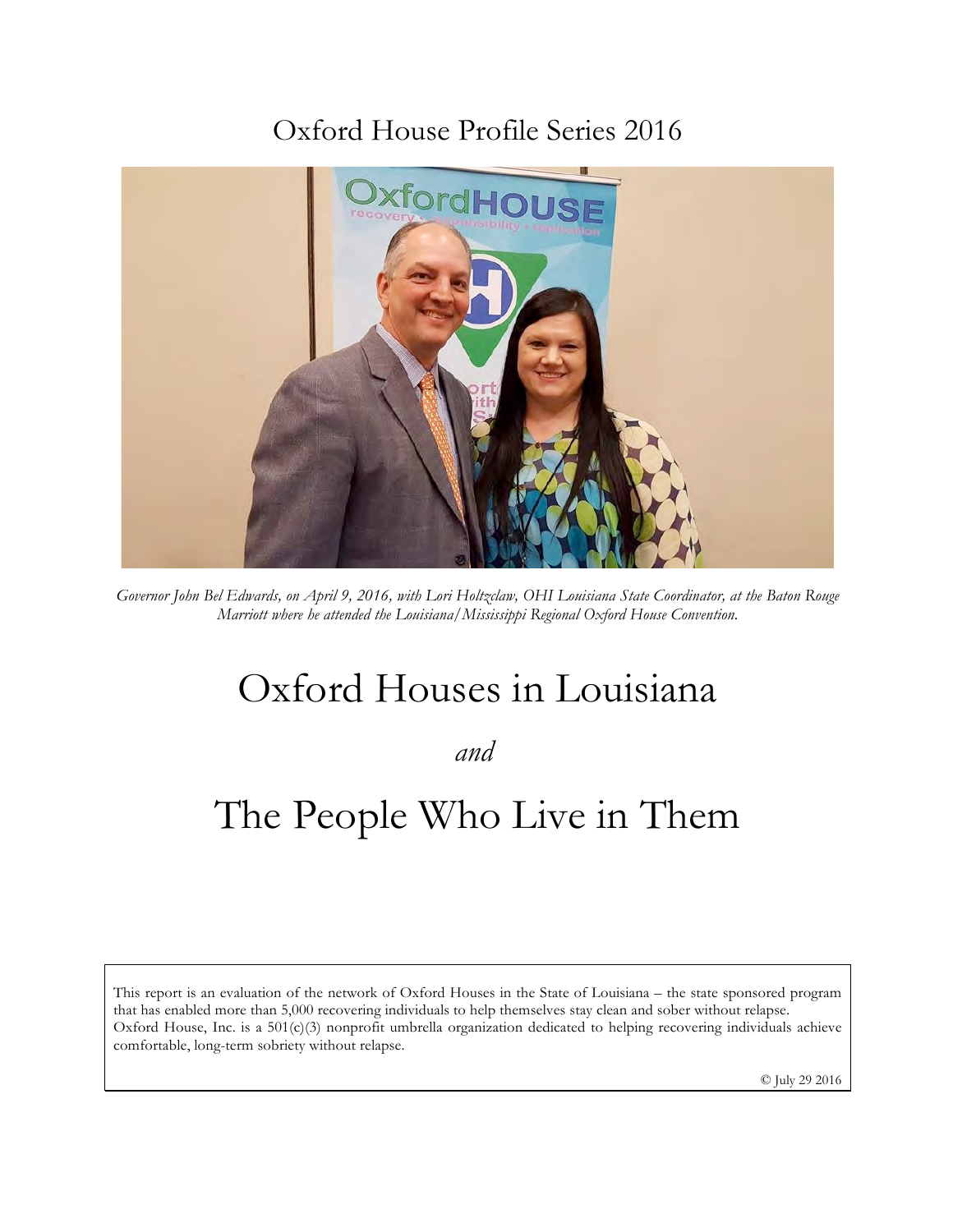## Oxford House Profile Series 2016



*Governor John Bel Edwards, on April 9, 2016, with Lori Holtzclaw, OHI Louisiana State Coordinator, at the Baton Rouge Marriott where he attended the Louisiana/Mississippi Regional Oxford House Convention.*

# Oxford Houses in Louisiana

*and*

# The People Who Live in Them

This report is an evaluation of the network of Oxford Houses in the State of Louisiana – the state sponsored program that has enabled more than 5,000 recovering individuals to help themselves stay clean and sober without relapse. Oxford House, Inc. is a 501(c)(3) nonprofit umbrella organization dedicated to helping recovering individuals achieve comfortable, long-term sobriety without relapse.

© July 29 2016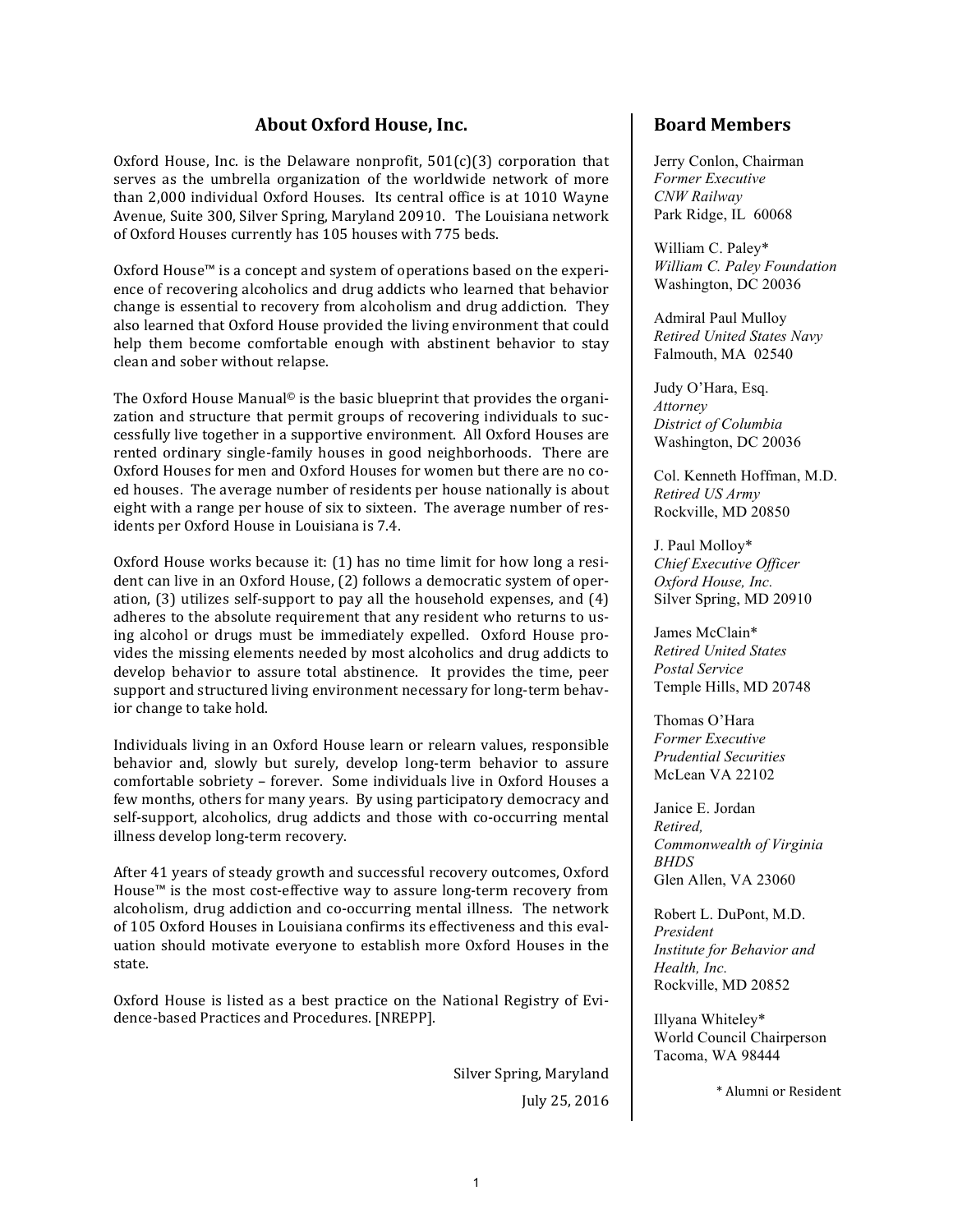## **About Oxford House, Inc.**

Oxford House, Inc. is the Delaware nonprofit,  $501(c)(3)$  corporation that serves as the umbrella organization of the worldwide network of more than 2,000 individual Oxford Houses. Its central office is at 1010 Wayne Avenue, Suite 300, Silver Spring, Maryland 20910. The Louisiana network of Oxford Houses currently has 105 houses with 775 beds.

Oxford House™ is a concept and system of operations based on the experience of recovering alcoholics and drug addicts who learned that behavior change is essential to recovery from alcoholism and drug addiction. They also learned that Oxford House provided the living environment that could help them become comfortable enough with abstinent behavior to stay clean and sober without relapse.

The Oxford House Manual<sup> $\circ$ </sup> is the basic blueprint that provides the organization and structure that permit groups of recovering individuals to successfully live together in a supportive environment. All Oxford Houses are rented ordinary single-family houses in good neighborhoods. There are Oxford Houses for men and Oxford Houses for women but there are no coed houses. The average number of residents per house nationally is about eight with a range per house of six to sixteen. The average number of residents per Oxford House in Louisiana is 7.4.

Oxford House works because it:  $(1)$  has no time limit for how long a resident can live in an Oxford House, (2) follows a democratic system of operation,  $(3)$  utilizes self-support to pay all the household expenses, and  $(4)$ adheres to the absolute requirement that any resident who returns to using alcohol or drugs must be immediately expelled. Oxford House provides the missing elements needed by most alcoholics and drug addicts to develop behavior to assure total abstinence. It provides the time, peer support and structured living environment necessary for long-term behavior change to take hold.

Individuals living in an Oxford House learn or relearn values, responsible behavior and, slowly but surely, develop long-term behavior to assure comfortable sobriety - forever. Some individuals live in Oxford Houses a few months, others for many years. By using participatory democracy and self-support, alcoholics, drug addicts and those with co-occurring mental illness develop long-term recovery.

After 41 years of steady growth and successful recovery outcomes, Oxford House<sup>™</sup> is the most cost-effective way to assure long-term recovery from alcoholism, drug addiction and co-occurring mental illness. The network of 105 Oxford Houses in Louisiana confirms its effectiveness and this evaluation should motivate everyone to establish more Oxford Houses in the state. 

Oxford House is listed as a best practice on the National Registry of Evidence-based Practices and Procedures. [NREPP].

> Silver Spring, Maryland July 25, 2016

## **Board Members**

Jerry Conlon, Chairman *Former Executive CNW Railway* Park Ridge, IL 60068

William C. Paley\* *William C. Paley Foundation* Washington, DC 20036

Admiral Paul Mulloy *Retired United States Navy* Falmouth, MA 02540

Judy O'Hara, Esq. *Attorney District of Columbia* Washington, DC 20036

Col. Kenneth Hoffman, M.D. *Retired US Army* Rockville, MD 20850

J. Paul Molloy\* *Chief Executive Officer Oxford House, Inc.* Silver Spring, MD 20910

James McClain\* *Retired United States Postal Service* Temple Hills, MD 20748

Thomas O'Hara *Former Executive Prudential Securities* McLean VA 22102

Janice E. Jordan *Retired, Commonwealth of Virginia BHDS* Glen Allen, VA 23060

Robert L. DuPont, M.D. *President Institute for Behavior and Health, Inc.* Rockville, MD 20852

Illyana Whiteley\* World Council Chairperson Tacoma, WA 98444

\* Alumni or Resident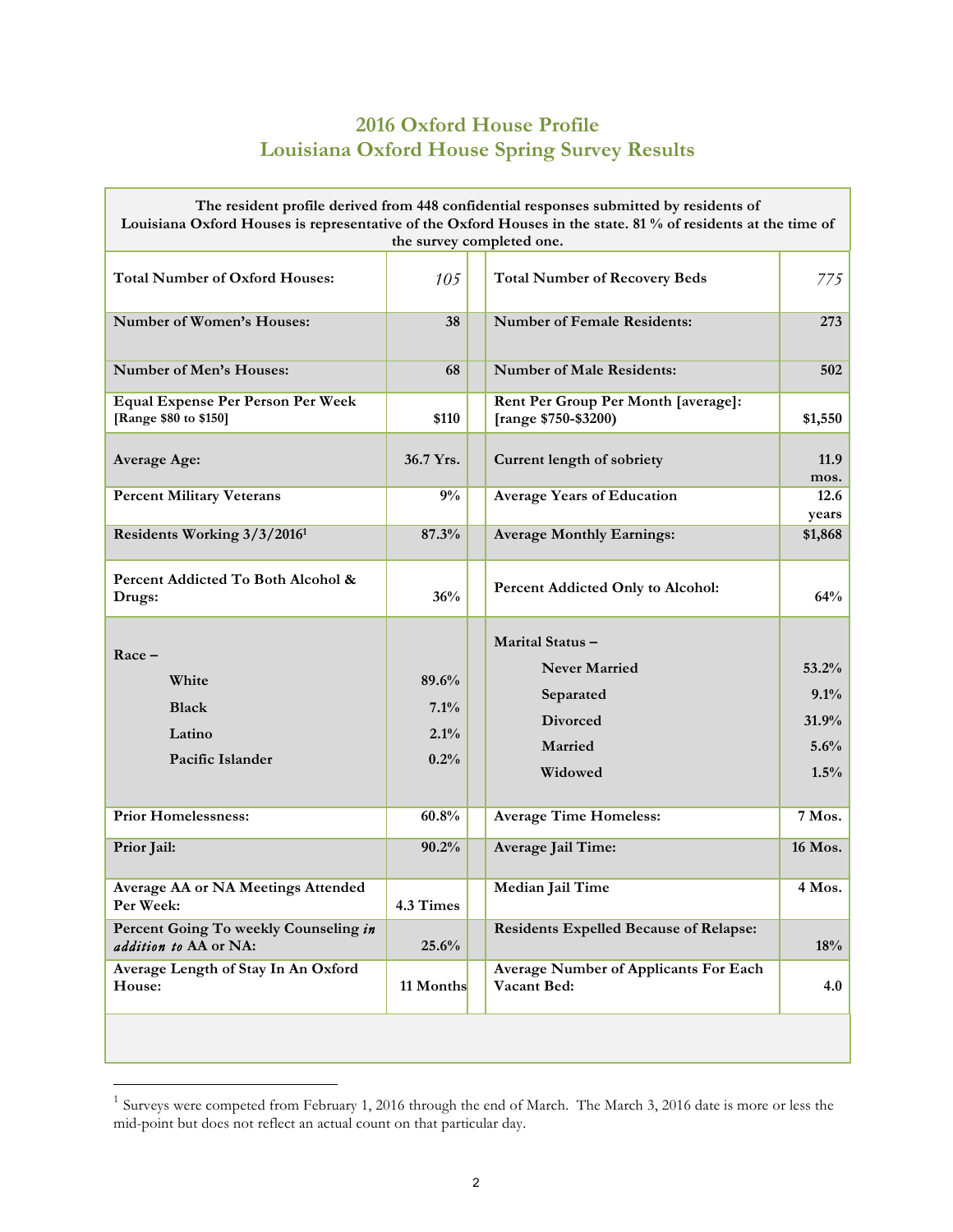## **2016 Oxford House Profile Louisiana Oxford House Spring Survey Results**

| The resident profile derived from 448 confidential responses submitted by residents of<br>Louisiana Oxford Houses is representative of the Oxford Houses in the state. 81 % of residents at the time of<br>the survey completed one. |                                                                       |                                                                                                                                                                                                                           |                                                                              |
|--------------------------------------------------------------------------------------------------------------------------------------------------------------------------------------------------------------------------------------|-----------------------------------------------------------------------|---------------------------------------------------------------------------------------------------------------------------------------------------------------------------------------------------------------------------|------------------------------------------------------------------------------|
| <b>Total Number of Oxford Houses:</b>                                                                                                                                                                                                | 105                                                                   | <b>Total Number of Recovery Beds</b>                                                                                                                                                                                      | 775                                                                          |
| Number of Women's Houses:                                                                                                                                                                                                            | 38                                                                    | <b>Number of Female Residents:</b>                                                                                                                                                                                        | 273                                                                          |
| <b>Number of Men's Houses:</b>                                                                                                                                                                                                       | 68                                                                    | <b>Number of Male Residents:</b>                                                                                                                                                                                          | 502                                                                          |
| <b>Equal Expense Per Person Per Week</b><br>[Range \$80 to \$150]                                                                                                                                                                    | \$110                                                                 | Rent Per Group Per Month [average]:<br>[range \$750-\$3200)                                                                                                                                                               | \$1,550                                                                      |
| <b>Average Age:</b>                                                                                                                                                                                                                  | 36.7 Yrs.                                                             | Current length of sobriety                                                                                                                                                                                                | 11.9<br>mos.                                                                 |
| <b>Percent Military Veterans</b>                                                                                                                                                                                                     | 9%                                                                    | <b>Average Years of Education</b>                                                                                                                                                                                         | 12.6<br>years                                                                |
| Residents Working 3/3/2016 <sup>1</sup>                                                                                                                                                                                              | 87.3%                                                                 | <b>Average Monthly Earnings:</b>                                                                                                                                                                                          | \$1,868                                                                      |
| Percent Addicted To Both Alcohol &<br>Drugs:                                                                                                                                                                                         | 36%                                                                   | Percent Addicted Only to Alcohol:                                                                                                                                                                                         | 64%                                                                          |
| $Race -$<br>White<br><b>Black</b><br>Latino<br>Pacific Islander<br><b>Prior Homelessness:</b><br>Prior Jail:<br>Average AA or NA Meetings Attended<br>Per Week:<br>Percent Going To weekly Counseling in<br>addition to AA or NA:    | 89.6%<br>7.1%<br>2.1%<br>0.2%<br>60.8%<br>90.2%<br>4.3 Times<br>25.6% | Marital Status-<br><b>Never Married</b><br>Separated<br><b>Divorced</b><br>Married<br>Widowed<br><b>Average Time Homeless:</b><br>Average Jail Time:<br>Median Jail Time<br><b>Residents Expelled Because of Relapse:</b> | 53.2%<br>9.1%<br>31.9%<br>5.6%<br>1.5%<br>7 Mos.<br>16 Mos.<br>4 Mos.<br>18% |
| Average Length of Stay In An Oxford<br>House:                                                                                                                                                                                        | 11 Months                                                             | <b>Average Number of Applicants For Each</b><br>Vacant Bed:                                                                                                                                                               | 4.0                                                                          |
|                                                                                                                                                                                                                                      |                                                                       |                                                                                                                                                                                                                           |                                                                              |

 $1$  Surveys were competed from February 1, 2016 through the end of March. The March 3, 2016 date is more or less the mid-point but does not reflect an actual count on that particular day.

<u>.</u>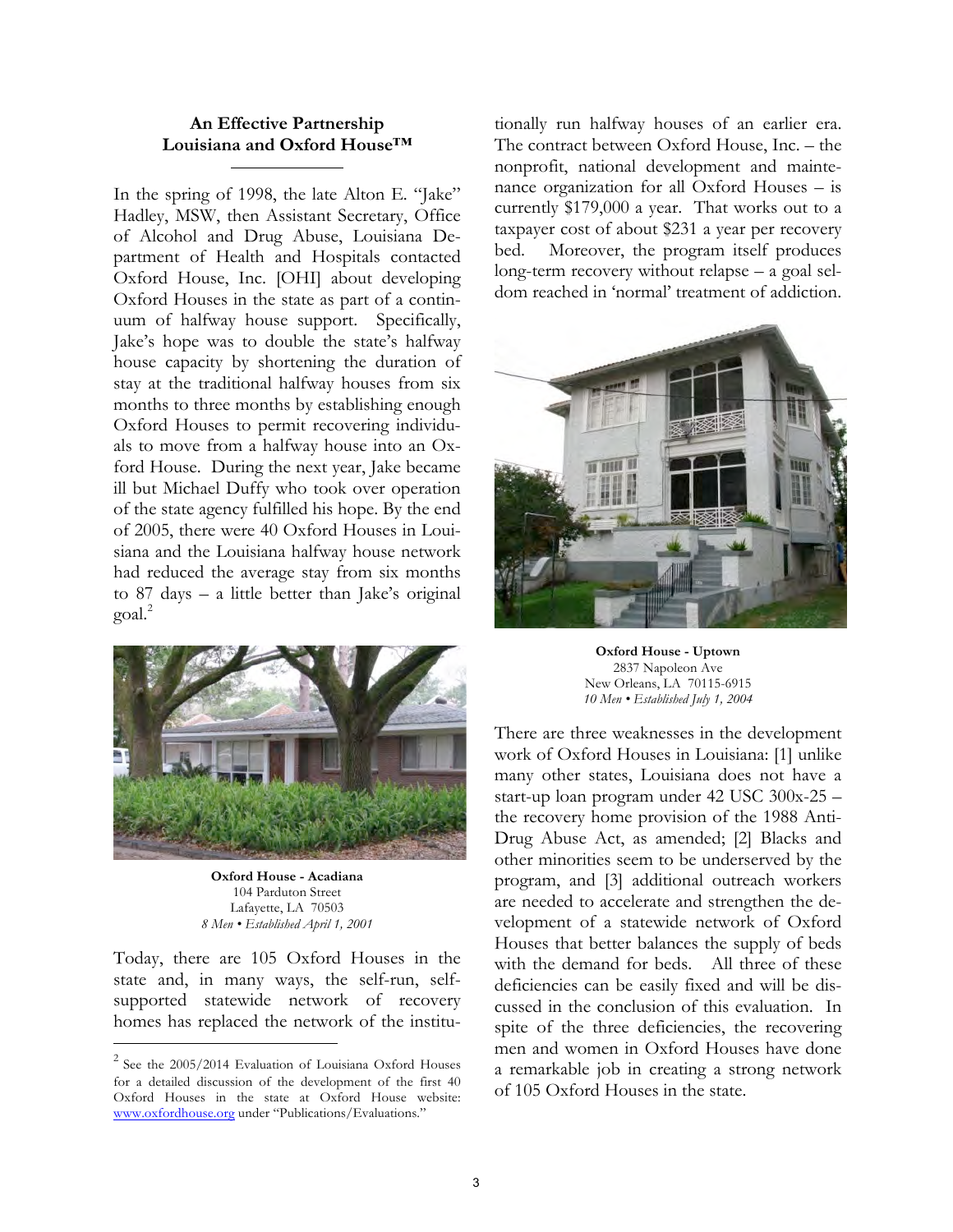## **An Effective Partnership Louisiana and Oxford House™**

In the spring of 1998, the late Alton E. "Jake" Hadley, MSW, then Assistant Secretary, Office of Alcohol and Drug Abuse, Louisiana Department of Health and Hospitals contacted Oxford House, Inc. [OHI] about developing Oxford Houses in the state as part of a continuum of halfway house support. Specifically, Jake's hope was to double the state's halfway house capacity by shortening the duration of stay at the traditional halfway houses from six months to three months by establishing enough Oxford Houses to permit recovering individuals to move from a halfway house into an Oxford House. During the next year, Jake became ill but Michael Duffy who took over operation of the state agency fulfilled his hope. By the end of 2005, there were 40 Oxford Houses in Louisiana and the Louisiana halfway house network had reduced the average stay from six months to 87 days – a little better than Jake's original  $\gamma$ goal.<sup>2</sup>



**Oxford House - Acadiana** 104 Parduton Street Lafayette, LA 70503 *8 Men • Established April 1, 2001*

Today, there are 105 Oxford Houses in the state and, in many ways, the self-run, selfsupported statewide network of recovery homes has replaced the network of the institu-

-

tionally run halfway houses of an earlier era. The contract between Oxford House, Inc. – the nonprofit, national development and maintenance organization for all Oxford Houses – is currently \$179,000 a year. That works out to a taxpayer cost of about \$231 a year per recovery bed. Moreover, the program itself produces long-term recovery without relapse – a goal seldom reached in 'normal' treatment of addiction.



**Oxford House - Uptown** 2837 Napoleon Ave New Orleans, LA 70115-6915 *10 Men • Established July 1, 2004*

There are three weaknesses in the development work of Oxford Houses in Louisiana: [1] unlike many other states, Louisiana does not have a start-up loan program under 42 USC 300x-25 – the recovery home provision of the 1988 Anti-Drug Abuse Act, as amended; [2] Blacks and other minorities seem to be underserved by the program, and [3] additional outreach workers are needed to accelerate and strengthen the development of a statewide network of Oxford Houses that better balances the supply of beds with the demand for beds. All three of these deficiencies can be easily fixed and will be discussed in the conclusion of this evaluation. In spite of the three deficiencies, the recovering men and women in Oxford Houses have done a remarkable job in creating a strong network of 105 Oxford Houses in the state.

 $2$  See the 2005/2014 Evaluation of Louisiana Oxford Houses for a detailed discussion of the development of the first 40 Oxford Houses in the state at Oxford House website: www.oxfordhouse.org under "Publications/Evaluations."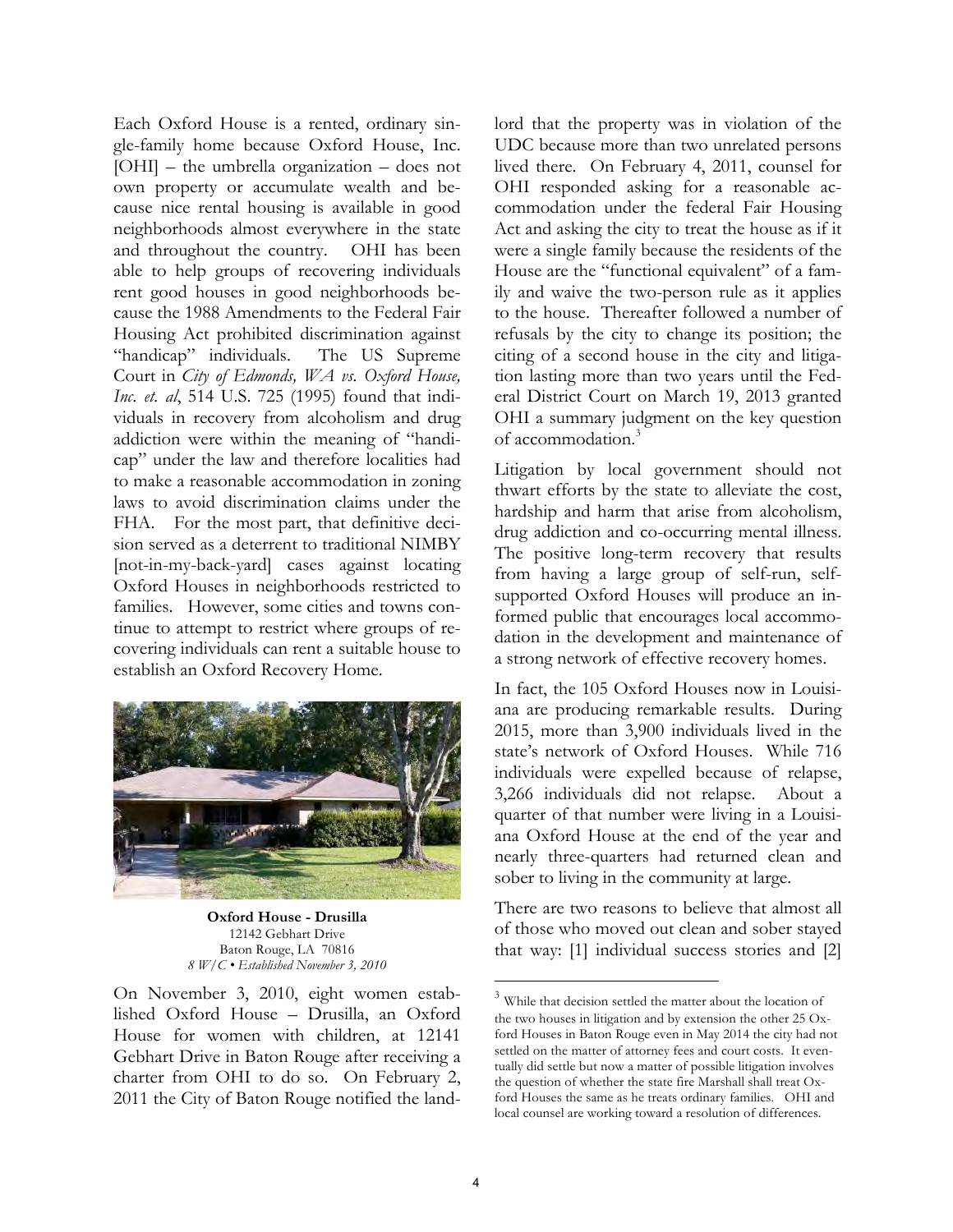Each Oxford House is a rented, ordinary single-family home because Oxford House, Inc. [OHI] – the umbrella organization – does not own property or accumulate wealth and because nice rental housing is available in good neighborhoods almost everywhere in the state and throughout the country. OHI has been able to help groups of recovering individuals rent good houses in good neighborhoods because the 1988 Amendments to the Federal Fair Housing Act prohibited discrimination against "handicap" individuals. The US Supreme Court in *City of Edmonds, WA vs. Oxford House, Inc*. *et. al*, 514 U.S. 725 (1995) found that individuals in recovery from alcoholism and drug addiction were within the meaning of "handicap" under the law and therefore localities had to make a reasonable accommodation in zoning laws to avoid discrimination claims under the FHA. For the most part, that definitive decision served as a deterrent to traditional NIMBY [not-in-my-back-yard] cases against locating Oxford Houses in neighborhoods restricted to families. However, some cities and towns continue to attempt to restrict where groups of recovering individuals can rent a suitable house to establish an Oxford Recovery Home.



**Oxford House - Drusilla** 12142 Gebhart Drive Baton Rouge, LA 70816 *8 W/C • Established November 3, 2010*

On November 3, 2010, eight women established Oxford House – Drusilla, an Oxford House for women with children, at 12141 Gebhart Drive in Baton Rouge after receiving a charter from OHI to do so. On February 2, 2011 the City of Baton Rouge notified the landlord that the property was in violation of the UDC because more than two unrelated persons lived there. On February 4, 2011, counsel for OHI responded asking for a reasonable accommodation under the federal Fair Housing Act and asking the city to treat the house as if it were a single family because the residents of the House are the "functional equivalent" of a family and waive the two-person rule as it applies to the house. Thereafter followed a number of refusals by the city to change its position; the citing of a second house in the city and litigation lasting more than two years until the Federal District Court on March 19, 2013 granted OHI a summary judgment on the key question of accommodation.<sup>3</sup>

Litigation by local government should not thwart efforts by the state to alleviate the cost, hardship and harm that arise from alcoholism, drug addiction and co-occurring mental illness. The positive long-term recovery that results from having a large group of self-run, selfsupported Oxford Houses will produce an informed public that encourages local accommodation in the development and maintenance of a strong network of effective recovery homes.

In fact, the 105 Oxford Houses now in Louisiana are producing remarkable results. During 2015, more than 3,900 individuals lived in the state's network of Oxford Houses. While 716 individuals were expelled because of relapse, 3,266 individuals did not relapse. About a quarter of that number were living in a Louisiana Oxford House at the end of the year and nearly three-quarters had returned clean and sober to living in the community at large.

There are two reasons to believe that almost all of those who moved out clean and sober stayed that way: [1] individual success stories and [2]

 $\overline{a}$ 

 $3$  While that decision settled the matter about the location of the two houses in litigation and by extension the other 25 Oxford Houses in Baton Rouge even in May 2014 the city had not settled on the matter of attorney fees and court costs. It eventually did settle but now a matter of possible litigation involves the question of whether the state fire Marshall shall treat Oxford Houses the same as he treats ordinary families. OHI and local counsel are working toward a resolution of differences.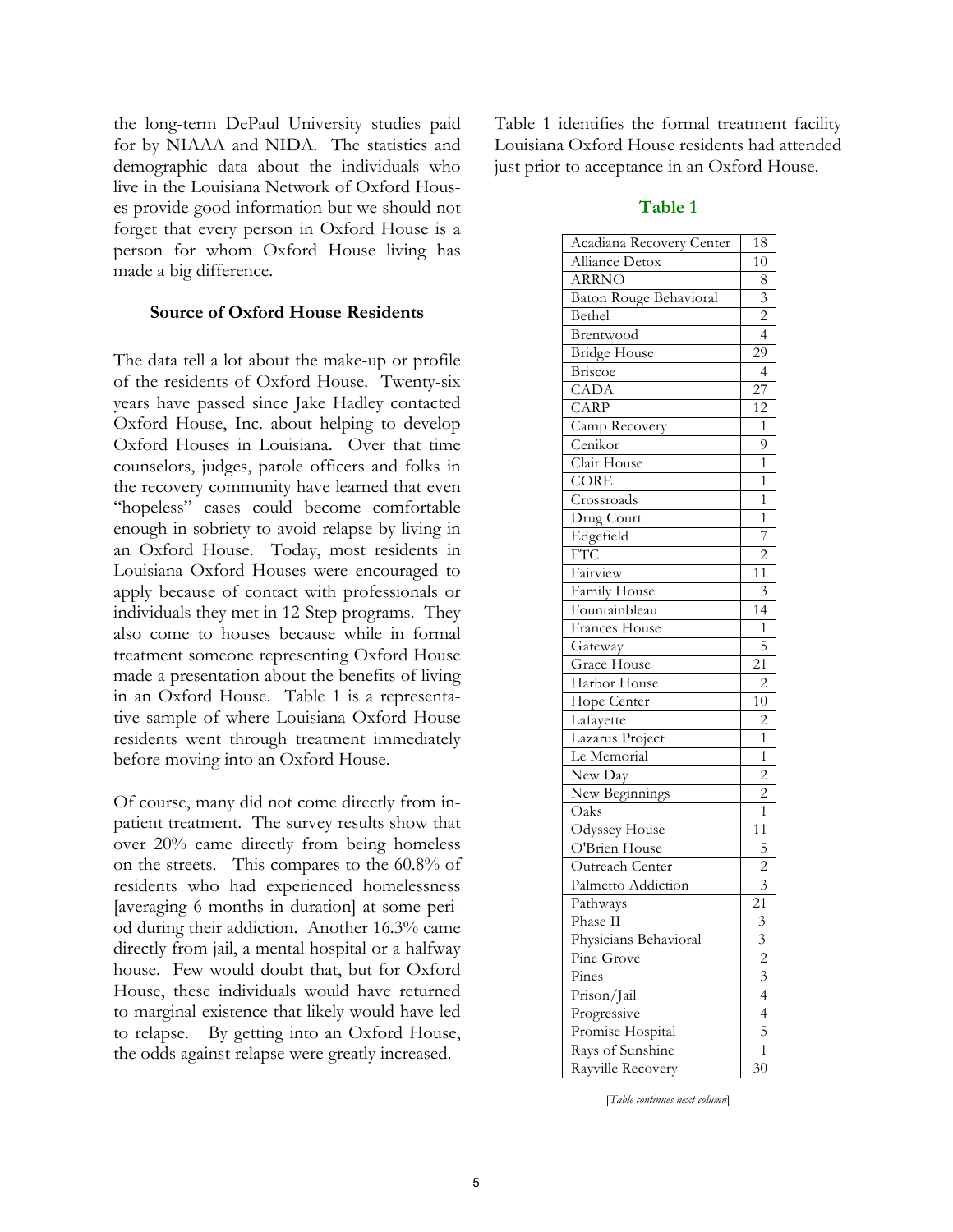the long-term DePaul University studies paid for by NIAAA and NIDA. The statistics and demographic data about the individuals who live in the Louisiana Network of Oxford Houses provide good information but we should not forget that every person in Oxford House is a person for whom Oxford House living has made a big difference.

## **Source of Oxford House Residents**

The data tell a lot about the make-up or profile of the residents of Oxford House. Twenty-six years have passed since Jake Hadley contacted Oxford House, Inc. about helping to develop Oxford Houses in Louisiana. Over that time counselors, judges, parole officers and folks in the recovery community have learned that even "hopeless" cases could become comfortable enough in sobriety to avoid relapse by living in an Oxford House. Today, most residents in Louisiana Oxford Houses were encouraged to apply because of contact with professionals or individuals they met in 12-Step programs. They also come to houses because while in formal treatment someone representing Oxford House made a presentation about the benefits of living in an Oxford House. Table 1 is a representative sample of where Louisiana Oxford House residents went through treatment immediately before moving into an Oxford House.

Of course, many did not come directly from inpatient treatment. The survey results show that over 20% came directly from being homeless on the streets. This compares to the 60.8% of residents who had experienced homelessness [averaging 6 months in duration] at some period during their addiction. Another 16.3% came directly from jail, a mental hospital or a halfway house. Few would doubt that, but for Oxford House, these individuals would have returned to marginal existence that likely would have led to relapse. By getting into an Oxford House, the odds against relapse were greatly increased.

Table 1 identifies the formal treatment facility Louisiana Oxford House residents had attended just prior to acceptance in an Oxford House.

## **Table 1**

| Acadiana Recovery Center | 18                      |
|--------------------------|-------------------------|
| Alliance Detox           | 10                      |
| <b>ARRNO</b>             | 8                       |
| Baton Rouge Behavioral   | 3                       |
| Bethel                   | $\overline{2}$          |
| Brentwood                | $\overline{4}$          |
| Bridge House             | 29                      |
| Briscoe                  | 4                       |
| CADA                     | 27                      |
| CARP                     | 12                      |
| Camp Recovery            | $\mathbf{1}$            |
| Cenikor                  | 9                       |
| Clair House              | $\overline{1}$          |
| <b>CORE</b>              | 1                       |
| Crossroads               | 1                       |
| Drug Court               | $\overline{1}$          |
| Edgefield                | 7                       |
| <b>FTC</b>               | $\overline{c}$          |
| Fairview                 | 11                      |
| Family House             | $\mathfrak{Z}$          |
| Fountainbleau            | $\overline{14}$         |
| Frances House            | $\mathbf{1}$            |
| Gateway                  | 5                       |
| Grace House              | $\overline{21}$         |
| Harbor House             | $\overline{c}$          |
| Hope Center              | 10                      |
| Lafayette                | $\overline{c}$          |
| Lazarus Project          | $\overline{1}$          |
| Le Memorial              | $\overline{1}$          |
| New Day                  | $\overline{2}$          |
| New Beginnings           | $\overline{c}$          |
| Oaks                     | $\mathbf{1}$            |
| Odyssey House            | 11                      |
| O'Brien House            | 5                       |
| Outreach Center          | $\overline{2}$          |
| Palmetto Addiction       | 3                       |
| Pathways                 | $\overline{21}$         |
| Phase II                 | $\overline{\mathbf{3}}$ |
| Physicians Behavioral    | 3                       |
| Pine Grove               | $\overline{2}$          |
| Pines                    | 3                       |
| Prison/Jail              | 4                       |
| Progressive              | 4                       |
| Promise Hospital         | 5                       |
| Rays of Sunshine         | $\overline{1}$          |
| Rayville Recovery        | 30                      |

[*Table continues next column*]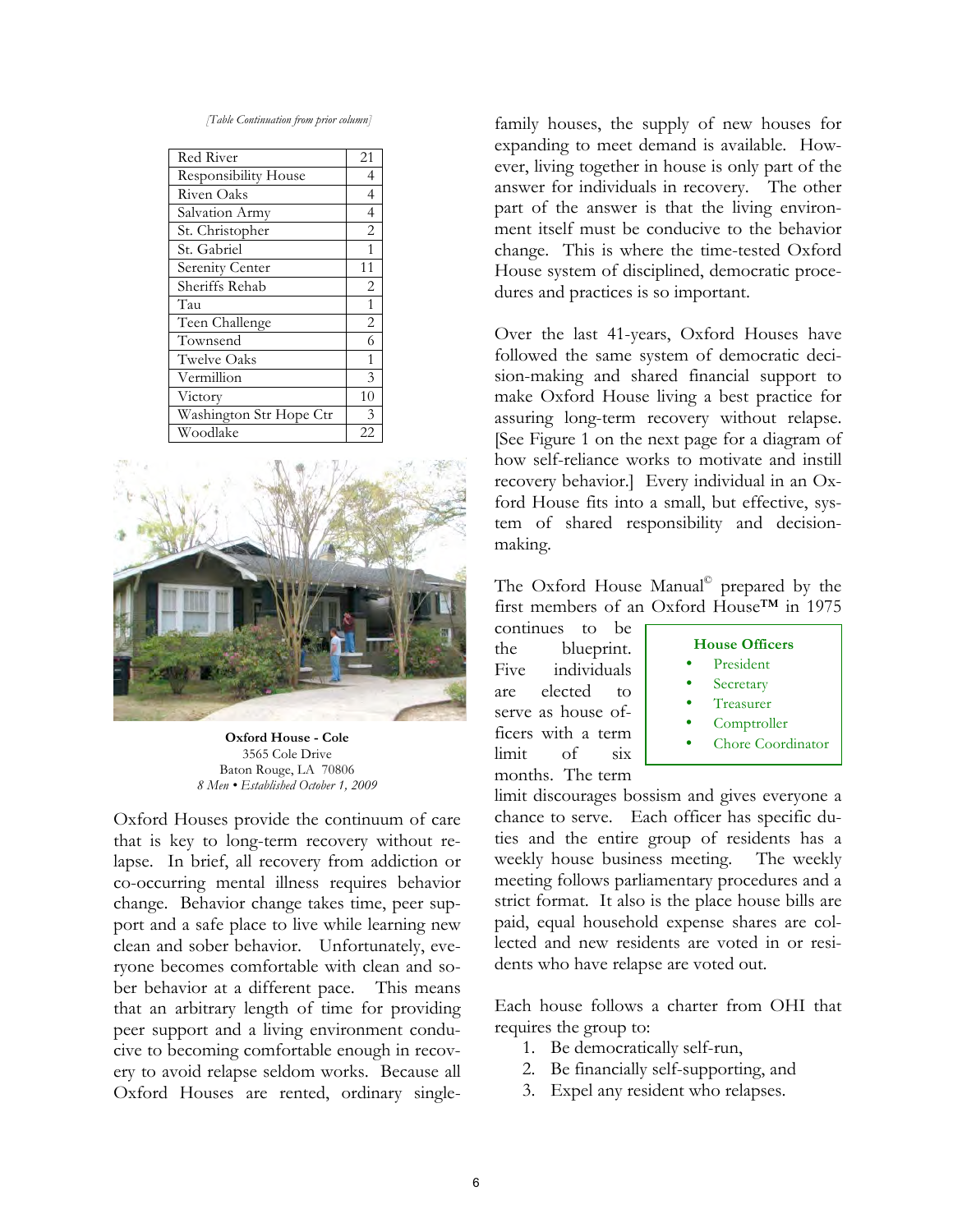*<sup>[</sup>Table Continuation from prior column]*

| Red River                   | 21             |
|-----------------------------|----------------|
| <b>Responsibility House</b> | 4              |
| Riven Oaks                  | $\overline{4}$ |
| Salvation Army              | $\overline{4}$ |
| St. Christopher             | $\overline{2}$ |
| St. Gabriel                 | $\mathbf{1}$   |
| Serenity Center             | 11             |
| Sheriffs Rehab              | 2              |
| Tau                         | $\mathbf{1}$   |
| Teen Challenge              | 2              |
| Townsend                    | 6              |
| <b>Twelve Oaks</b>          | $\mathbf{1}$   |
| Vermillion                  | 3              |
| Victory                     | 10             |
| Washington Str Hope Ctr     | 3              |
| Woodlake                    | 22             |



**Oxford House - Cole** 3565 Cole Drive Baton Rouge, LA 70806 *8 Men • Established October 1, 2009* 

Oxford Houses provide the continuum of care that is key to long-term recovery without relapse. In brief, all recovery from addiction or co-occurring mental illness requires behavior change. Behavior change takes time, peer support and a safe place to live while learning new clean and sober behavior. Unfortunately, everyone becomes comfortable with clean and sober behavior at a different pace. This means that an arbitrary length of time for providing peer support and a living environment conducive to becoming comfortable enough in recovery to avoid relapse seldom works. Because all Oxford Houses are rented, ordinary single-

family houses, the supply of new houses for expanding to meet demand is available. However, living together in house is only part of the answer for individuals in recovery. The other part of the answer is that the living environment itself must be conducive to the behavior change. This is where the time-tested Oxford House system of disciplined, democratic procedures and practices is so important.

Over the last 41-years, Oxford Houses have followed the same system of democratic decision-making and shared financial support to make Oxford House living a best practice for assuring long-term recovery without relapse. [See Figure 1 on the next page for a diagram of how self-reliance works to motivate and instill recovery behavior.] Every individual in an Oxford House fits into a small, but effective, system of shared responsibility and decisionmaking.

The Oxford House Manual<sup>©</sup> prepared by the first members of an Oxford House™ in 1975

continues to be the blueprint. Five individuals are elected to serve as house officers with a term limit of six months. The term



limit discourages bossism and gives everyone a chance to serve. Each officer has specific duties and the entire group of residents has a weekly house business meeting. The weekly meeting follows parliamentary procedures and a strict format. It also is the place house bills are paid, equal household expense shares are collected and new residents are voted in or residents who have relapse are voted out.

Each house follows a charter from OHI that requires the group to:

- 1. Be democratically self-run,
- 2. Be financially self-supporting, and
- 3. Expel any resident who relapses.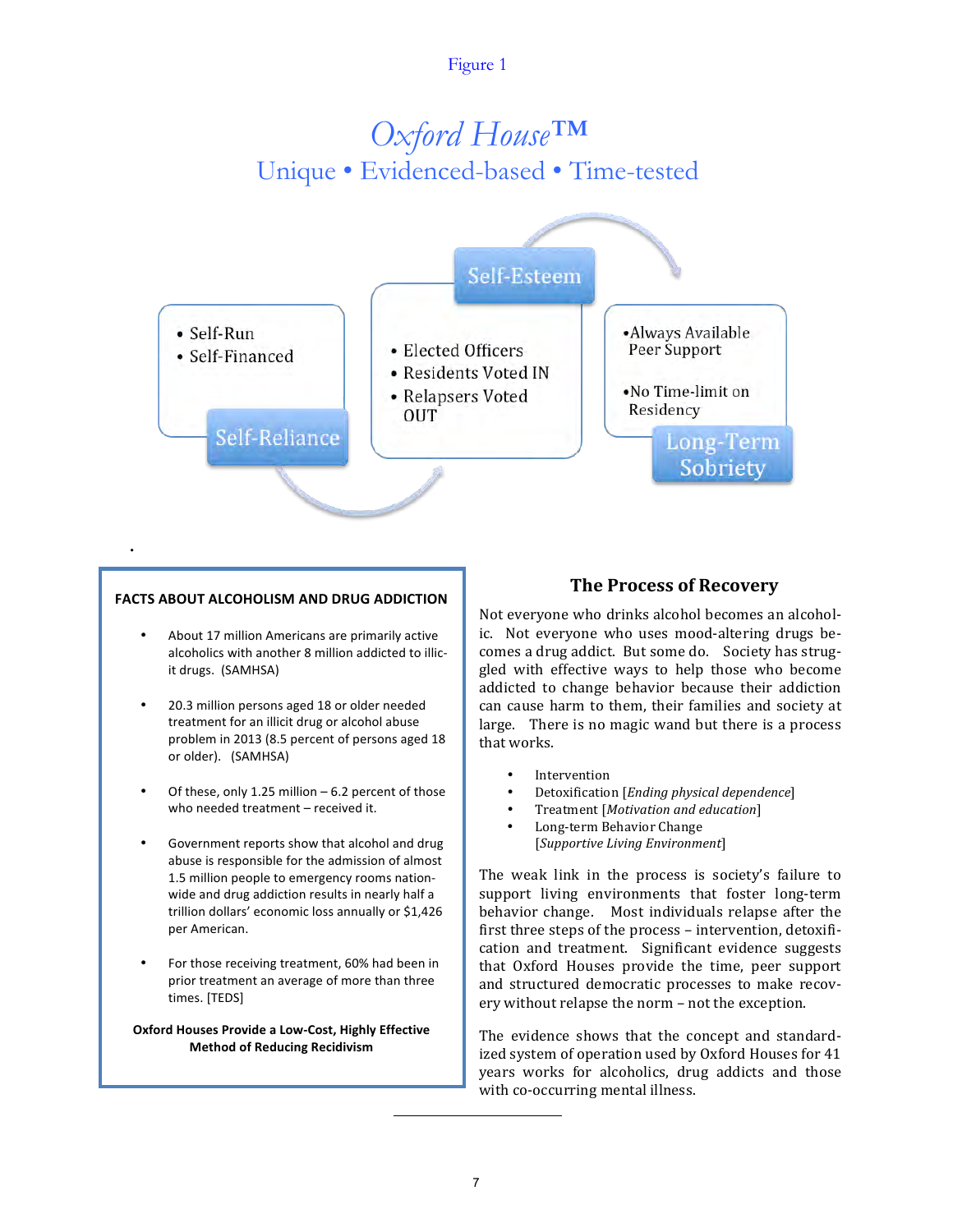## Figure 1

## *Oxford House™*  Unique • Evidenced-based • Time-tested



#### **FACTS ABOUT ALCOHOLISM AND DRUG ADDICTION**

•

- About 17 million Americans are primarily active alcoholics with another 8 million addicted to illicit drugs. (SAMHSA)
- 20.3 million persons aged 18 or older needed treatment for an illicit drug or alcohol abuse problem in 2013 (8.5 percent of persons aged 18 or older). (SAMHSA)
- Of these, only 1.25 million  $-6.2$  percent of those who needed treatment - received it.
- Government reports show that alcohol and drug abuse is responsible for the admission of almost 1.5 million people to emergency rooms nationwide and drug addiction results in nearly half a trillion dollars' economic loss annually or \$1,426 per American.
- For those receiving treatment, 60% had been in prior treatment an average of more than three times. [TEDS]

**Oxford Houses Provide a Low-Cost, Highly Effective Method of Reducing Recidivism**

## **The Process of Recovery**

Not everyone who drinks alcohol becomes an alcoholic. Not everyone who uses mood-altering drugs becomes a drug addict. But some do. Society has struggled with effective ways to help those who become addicted to change behavior because their addiction can cause harm to them, their families and society at large. There is no magic wand but there is a process that works.

- **Intervention**
- Detoxification [*Ending physical dependence*]
- Treatment [*Motivation and education*]
- Long-term Behavior Change [*Supportive Living Environment*]

The weak link in the process is society's failure to support living environments that foster long-term behavior change. Most individuals relapse after the first three steps of the process - intervention, detoxification and treatment. Significant evidence suggests that Oxford Houses provide the time, peer support and structured democratic processes to make recovery without relapse the norm - not the exception.

The evidence shows that the concept and standardized system of operation used by Oxford Houses for 41 years works for alcoholics, drug addicts and those with co-occurring mental illness.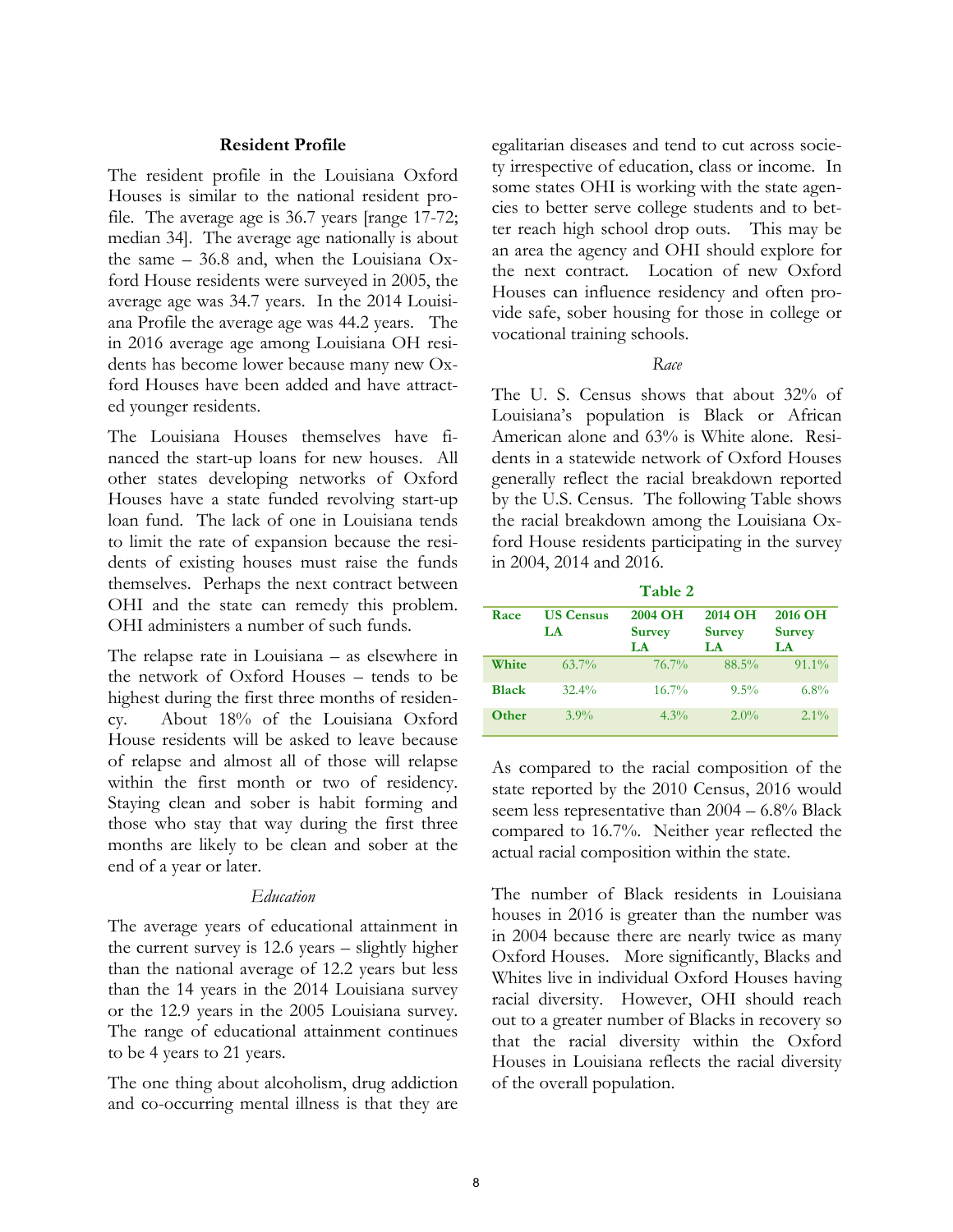## **Resident Profile**

The resident profile in the Louisiana Oxford Houses is similar to the national resident profile. The average age is 36.7 years [range 17-72; median 34]. The average age nationally is about the same – 36.8 and, when the Louisiana Oxford House residents were surveyed in 2005, the average age was 34.7 years. In the 2014 Louisiana Profile the average age was 44.2 years. The in 2016 average age among Louisiana OH residents has become lower because many new Oxford Houses have been added and have attracted younger residents.

The Louisiana Houses themselves have financed the start-up loans for new houses. All other states developing networks of Oxford Houses have a state funded revolving start-up loan fund. The lack of one in Louisiana tends to limit the rate of expansion because the residents of existing houses must raise the funds themselves. Perhaps the next contract between OHI and the state can remedy this problem. OHI administers a number of such funds.

The relapse rate in Louisiana – as elsewhere in the network of Oxford Houses – tends to be highest during the first three months of residency. About 18% of the Louisiana Oxford House residents will be asked to leave because of relapse and almost all of those will relapse within the first month or two of residency. Staying clean and sober is habit forming and those who stay that way during the first three months are likely to be clean and sober at the end of a year or later.

## *Education*

The average years of educational attainment in the current survey is 12.6 years – slightly higher than the national average of 12.2 years but less than the 14 years in the 2014 Louisiana survey or the 12.9 years in the 2005 Louisiana survey. The range of educational attainment continues to be 4 years to 21 years.

The one thing about alcoholism, drug addiction and co-occurring mental illness is that they are

egalitarian diseases and tend to cut across society irrespective of education, class or income. In some states OHI is working with the state agencies to better serve college students and to better reach high school drop outs. This may be an area the agency and OHI should explore for the next contract. Location of new Oxford Houses can influence residency and often provide safe, sober housing for those in college or vocational training schools.

## *Race*

The U. S. Census shows that about 32% of Louisiana's population is Black or African American alone and 63% is White alone. Residents in a statewide network of Oxford Houses generally reflect the racial breakdown reported by the U.S. Census. The following Table shows the racial breakdown among the Louisiana Oxford House residents participating in the survey in 2004, 2014 and 2016.

**Table 2 Race US Census LA 2004 OH Survey LA 2014 OH Survey LA 2016 OH Survey LA White** 63.7% 76.7% 88.5% 91.1% **Black** 32.4% 16.7% 9.5% 6.8% **Other** 3.9% 4.3% 2.0% 2.1%

As compared to the racial composition of the state reported by the 2010 Census, 2016 would seem less representative than 2004 – 6.8% Black compared to 16.7%. Neither year reflected the actual racial composition within the state.

The number of Black residents in Louisiana houses in 2016 is greater than the number was in 2004 because there are nearly twice as many Oxford Houses. More significantly, Blacks and Whites live in individual Oxford Houses having racial diversity. However, OHI should reach out to a greater number of Blacks in recovery so that the racial diversity within the Oxford Houses in Louisiana reflects the racial diversity of the overall population.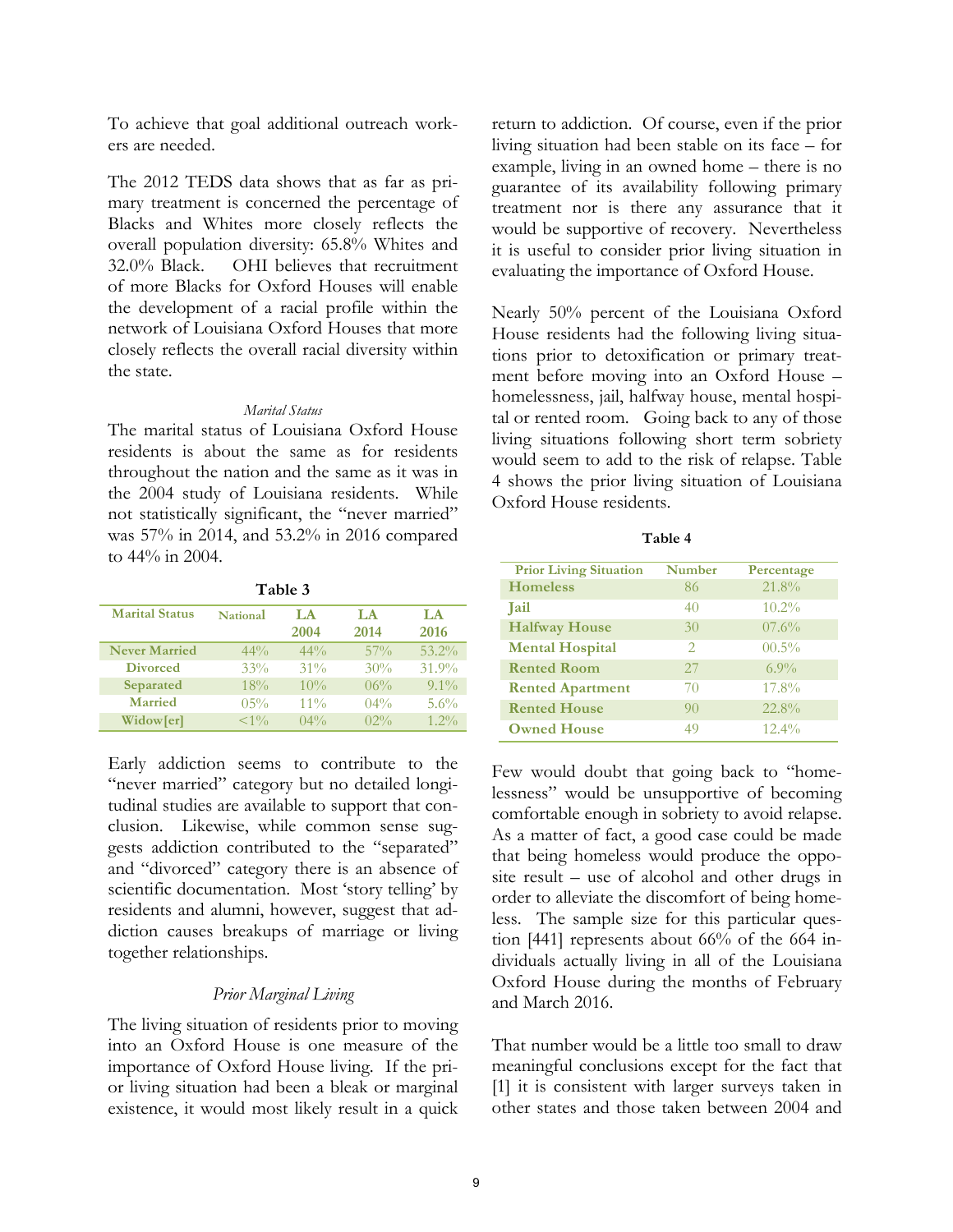To achieve that goal additional outreach workers are needed.

The 2012 TEDS data shows that as far as primary treatment is concerned the percentage of Blacks and Whites more closely reflects the overall population diversity: 65.8% Whites and 32.0% Black. OHI believes that recruitment of more Blacks for Oxford Houses will enable the development of a racial profile within the network of Louisiana Oxford Houses that more closely reflects the overall racial diversity within the state.

## *Marital Status*

The marital status of Louisiana Oxford House residents is about the same as for residents throughout the nation and the same as it was in the 2004 study of Louisiana residents. While not statistically significant, the "never married" was 57% in 2014, and 53.2% in 2016 compared to 44% in 2004.

| Table 3               |          |            |            |             |
|-----------------------|----------|------------|------------|-------------|
| <b>Marital Status</b> | National | LA<br>2004 | LA<br>2014 | T.A<br>2016 |
| <b>Never Married</b>  | $44\%$   | $44\%$     | $57\%$     | $53.2\%$    |
| <b>Divorced</b>       | 33%      | $31\%$     | 30%        | 31.9%       |
| Separated             | 18%      | 10%        | $06\%$     | $9.1\%$     |
| <b>Married</b>        | $0.5\%$  | $11\%$     | $04\%$     | 5.6%        |
| Widow[er]             | $< 1\%$  | $04\%$     | $02\%$     | $1.2\%$     |

Early addiction seems to contribute to the "never married" category but no detailed longitudinal studies are available to support that conclusion. Likewise, while common sense suggests addiction contributed to the "separated" and "divorced" category there is an absence of scientific documentation. Most 'story telling' by residents and alumni, however, suggest that addiction causes breakups of marriage or living together relationships.

## *Prior Marginal Living*

The living situation of residents prior to moving into an Oxford House is one measure of the importance of Oxford House living. If the prior living situation had been a bleak or marginal existence, it would most likely result in a quick return to addiction. Of course, even if the prior living situation had been stable on its face – for example, living in an owned home – there is no guarantee of its availability following primary treatment nor is there any assurance that it would be supportive of recovery. Nevertheless it is useful to consider prior living situation in evaluating the importance of Oxford House.

Nearly 50% percent of the Louisiana Oxford House residents had the following living situations prior to detoxification or primary treatment before moving into an Oxford House – homelessness, jail, halfway house, mental hospital or rented room. Going back to any of those living situations following short term sobriety would seem to add to the risk of relapse. Table 4 shows the prior living situation of Louisiana Oxford House residents.

| abie |  |
|------|--|
|------|--|

| <b>Prior Living Situation</b> | <b>Number</b>               | Percentage |
|-------------------------------|-----------------------------|------------|
| <b>Homeless</b>               | 86                          | 21.8%      |
| <b>Tail</b>                   | 40                          | $10.2\%$   |
| <b>Halfway House</b>          | 30                          | 07.6%      |
| <b>Mental Hospital</b>        | $\mathcal{D}_{\mathcal{A}}$ | $00.5\%$   |
| <b>Rented Room</b>            | 27                          | $6.9\%$    |
| <b>Rented Apartment</b>       | 70                          | 17.8%      |
| <b>Rented House</b>           | 90                          | 22.8%      |
| <b>Owned House</b>            | 49                          | $12.4\%$   |

Few would doubt that going back to "homelessness" would be unsupportive of becoming comfortable enough in sobriety to avoid relapse. As a matter of fact, a good case could be made that being homeless would produce the opposite result – use of alcohol and other drugs in order to alleviate the discomfort of being homeless. The sample size for this particular question [441] represents about 66% of the 664 individuals actually living in all of the Louisiana Oxford House during the months of February and March 2016.

That number would be a little too small to draw meaningful conclusions except for the fact that [1] it is consistent with larger surveys taken in other states and those taken between 2004 and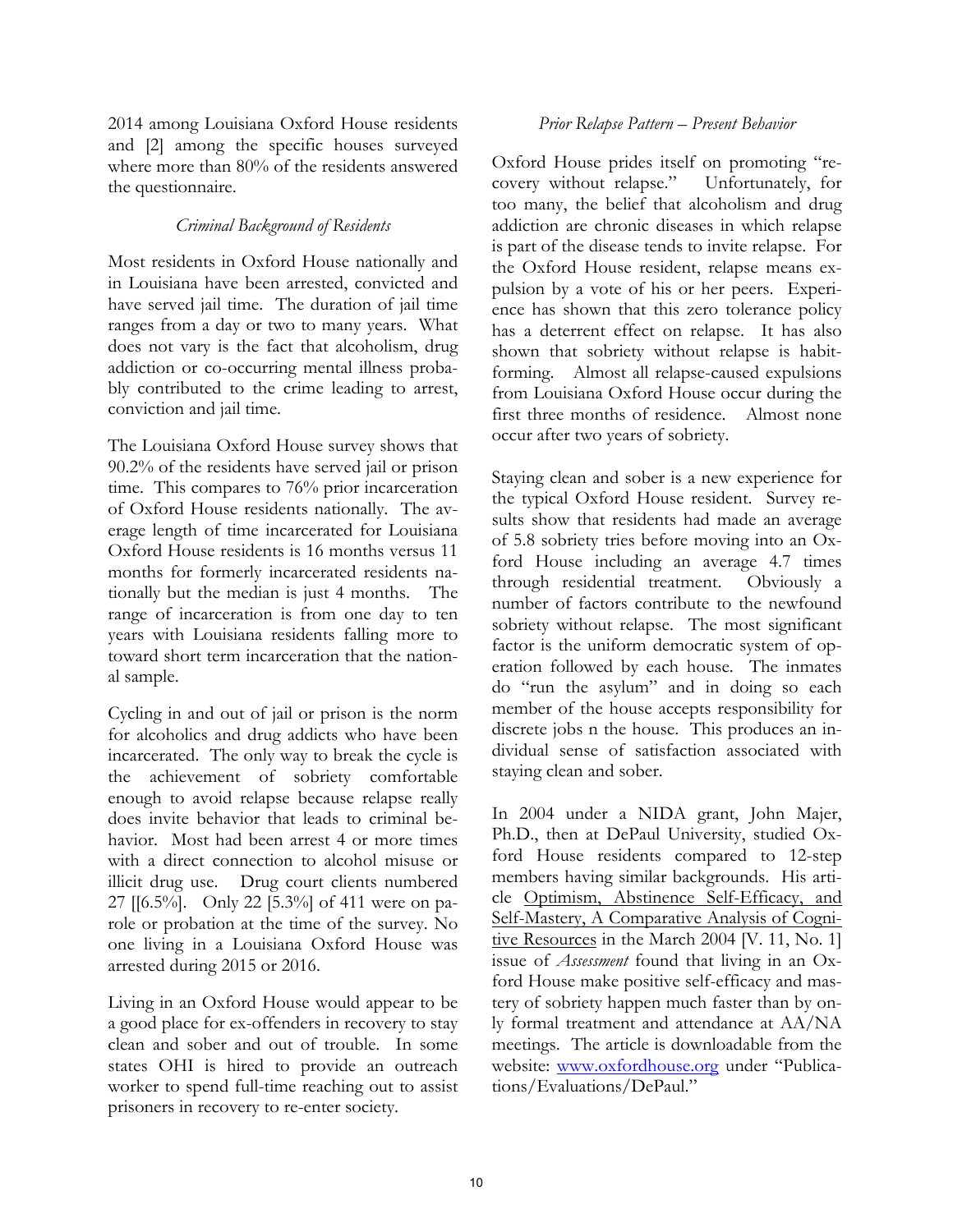2014 among Louisiana Oxford House residents and [2] among the specific houses surveyed where more than 80% of the residents answered the questionnaire.

## *Criminal Background of Residents*

Most residents in Oxford House nationally and in Louisiana have been arrested, convicted and have served jail time. The duration of jail time ranges from a day or two to many years. What does not vary is the fact that alcoholism, drug addiction or co-occurring mental illness probably contributed to the crime leading to arrest, conviction and jail time.

The Louisiana Oxford House survey shows that 90.2% of the residents have served jail or prison time. This compares to 76% prior incarceration of Oxford House residents nationally. The average length of time incarcerated for Louisiana Oxford House residents is 16 months versus 11 months for formerly incarcerated residents nationally but the median is just 4 months. The range of incarceration is from one day to ten years with Louisiana residents falling more to toward short term incarceration that the national sample.

Cycling in and out of jail or prison is the norm for alcoholics and drug addicts who have been incarcerated. The only way to break the cycle is the achievement of sobriety comfortable enough to avoid relapse because relapse really does invite behavior that leads to criminal behavior. Most had been arrest 4 or more times with a direct connection to alcohol misuse or illicit drug use. Drug court clients numbered 27 [[6.5%]. Only 22 [5.3%] of 411 were on parole or probation at the time of the survey. No one living in a Louisiana Oxford House was arrested during 2015 or 2016.

Living in an Oxford House would appear to be a good place for ex-offenders in recovery to stay clean and sober and out of trouble. In some states OHI is hired to provide an outreach worker to spend full-time reaching out to assist prisoners in recovery to re-enter society.

## *Prior Relapse Pattern – Present Behavior*

Oxford House prides itself on promoting "recovery without relapse." Unfortunately, for too many, the belief that alcoholism and drug addiction are chronic diseases in which relapse is part of the disease tends to invite relapse. For the Oxford House resident, relapse means expulsion by a vote of his or her peers. Experience has shown that this zero tolerance policy has a deterrent effect on relapse. It has also shown that sobriety without relapse is habitforming. Almost all relapse-caused expulsions from Louisiana Oxford House occur during the first three months of residence. Almost none occur after two years of sobriety.

Staying clean and sober is a new experience for the typical Oxford House resident. Survey results show that residents had made an average of 5.8 sobriety tries before moving into an Oxford House including an average 4.7 times through residential treatment. Obviously a number of factors contribute to the newfound sobriety without relapse. The most significant factor is the uniform democratic system of operation followed by each house. The inmates do "run the asylum" and in doing so each member of the house accepts responsibility for discrete jobs n the house. This produces an individual sense of satisfaction associated with staying clean and sober.

In 2004 under a NIDA grant, John Majer, Ph.D., then at DePaul University, studied Oxford House residents compared to 12-step members having similar backgrounds. His article Optimism, Abstinence Self-Efficacy, and Self-Mastery, A Comparative Analysis of Cognitive Resources in the March 2004 [V. 11, No. 1] issue of *Assessment* found that living in an Oxford House make positive self-efficacy and mastery of sobriety happen much faster than by only formal treatment and attendance at AA/NA meetings. The article is downloadable from the website: www.oxfordhouse.org under "Publications/Evaluations/DePaul."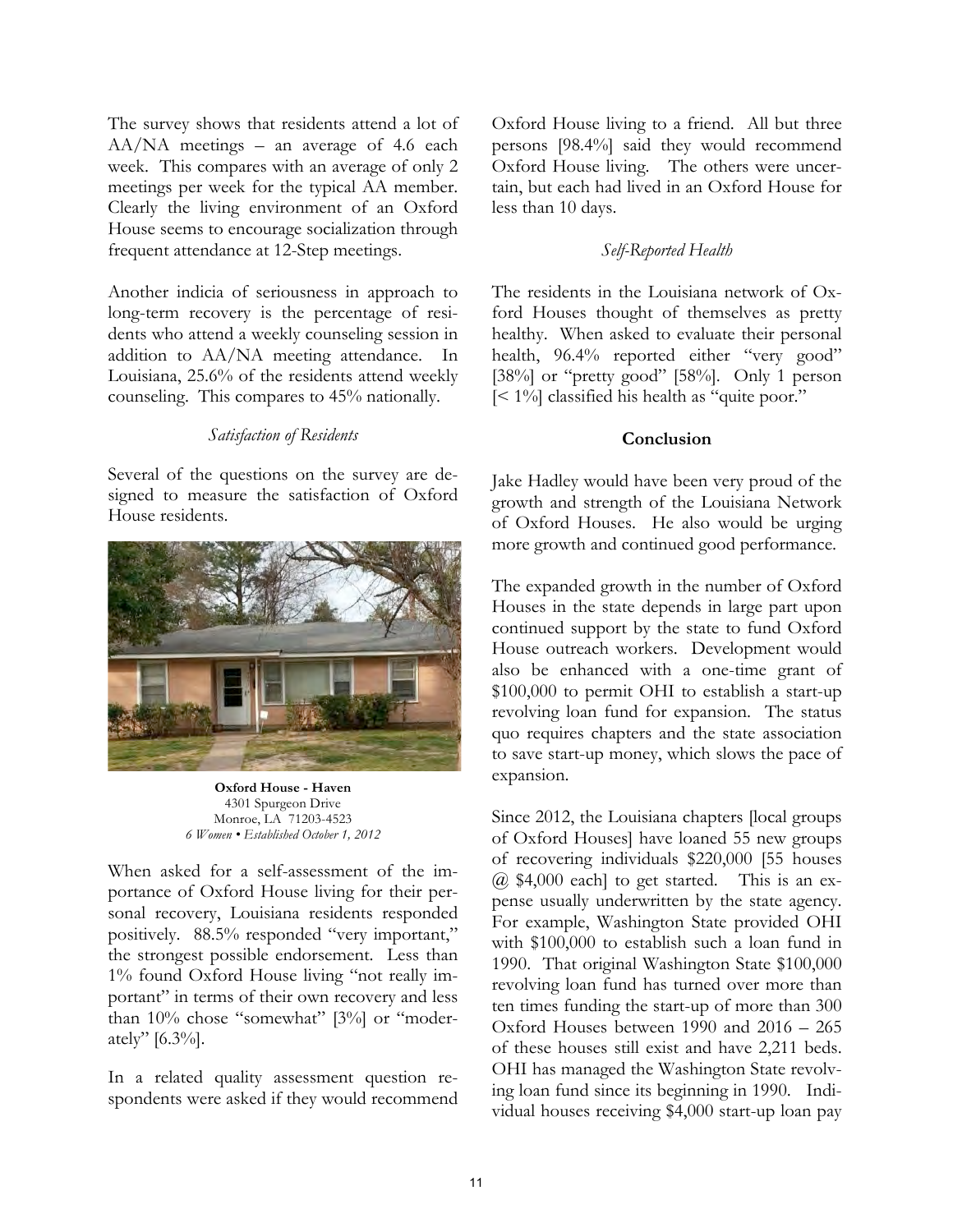The survey shows that residents attend a lot of AA/NA meetings – an average of 4.6 each week. This compares with an average of only 2 meetings per week for the typical AA member. Clearly the living environment of an Oxford House seems to encourage socialization through frequent attendance at 12-Step meetings.

Another indicia of seriousness in approach to long-term recovery is the percentage of residents who attend a weekly counseling session in addition to AA/NA meeting attendance. In Louisiana, 25.6% of the residents attend weekly counseling. This compares to 45% nationally.

## *Satisfaction of Residents*

Several of the questions on the survey are designed to measure the satisfaction of Oxford House residents.



**Oxford House - Haven** 4301 Spurgeon Drive Monroe, LA 71203-4523 *6 Women • Established October 1, 2012*

When asked for a self-assessment of the importance of Oxford House living for their personal recovery, Louisiana residents responded positively. 88.5% responded "very important," the strongest possible endorsement. Less than 1% found Oxford House living "not really important" in terms of their own recovery and less than 10% chose "somewhat" [3%] or "moderately" [6.3%].

In a related quality assessment question respondents were asked if they would recommend Oxford House living to a friend. All but three persons [98.4%] said they would recommend Oxford House living. The others were uncertain, but each had lived in an Oxford House for less than 10 days.

## *Self-Reported Health*

The residents in the Louisiana network of Oxford Houses thought of themselves as pretty healthy. When asked to evaluate their personal health, 96.4% reported either "very good" [38%] or "pretty good" [58%]. Only 1 person [< 1%] classified his health as "quite poor."

## **Conclusion**

Jake Hadley would have been very proud of the growth and strength of the Louisiana Network of Oxford Houses. He also would be urging more growth and continued good performance.

The expanded growth in the number of Oxford Houses in the state depends in large part upon continued support by the state to fund Oxford House outreach workers. Development would also be enhanced with a one-time grant of \$100,000 to permit OHI to establish a start-up revolving loan fund for expansion. The status quo requires chapters and the state association to save start-up money, which slows the pace of expansion.

Since 2012, the Louisiana chapters [local groups of Oxford Houses] have loaned 55 new groups of recovering individuals \$220,000 [55 houses @ \$4,000 each] to get started. This is an expense usually underwritten by the state agency. For example, Washington State provided OHI with \$100,000 to establish such a loan fund in 1990. That original Washington State \$100,000 revolving loan fund has turned over more than ten times funding the start-up of more than 300 Oxford Houses between 1990 and 2016 – 265 of these houses still exist and have 2,211 beds. OHI has managed the Washington State revolving loan fund since its beginning in 1990. Individual houses receiving \$4,000 start-up loan pay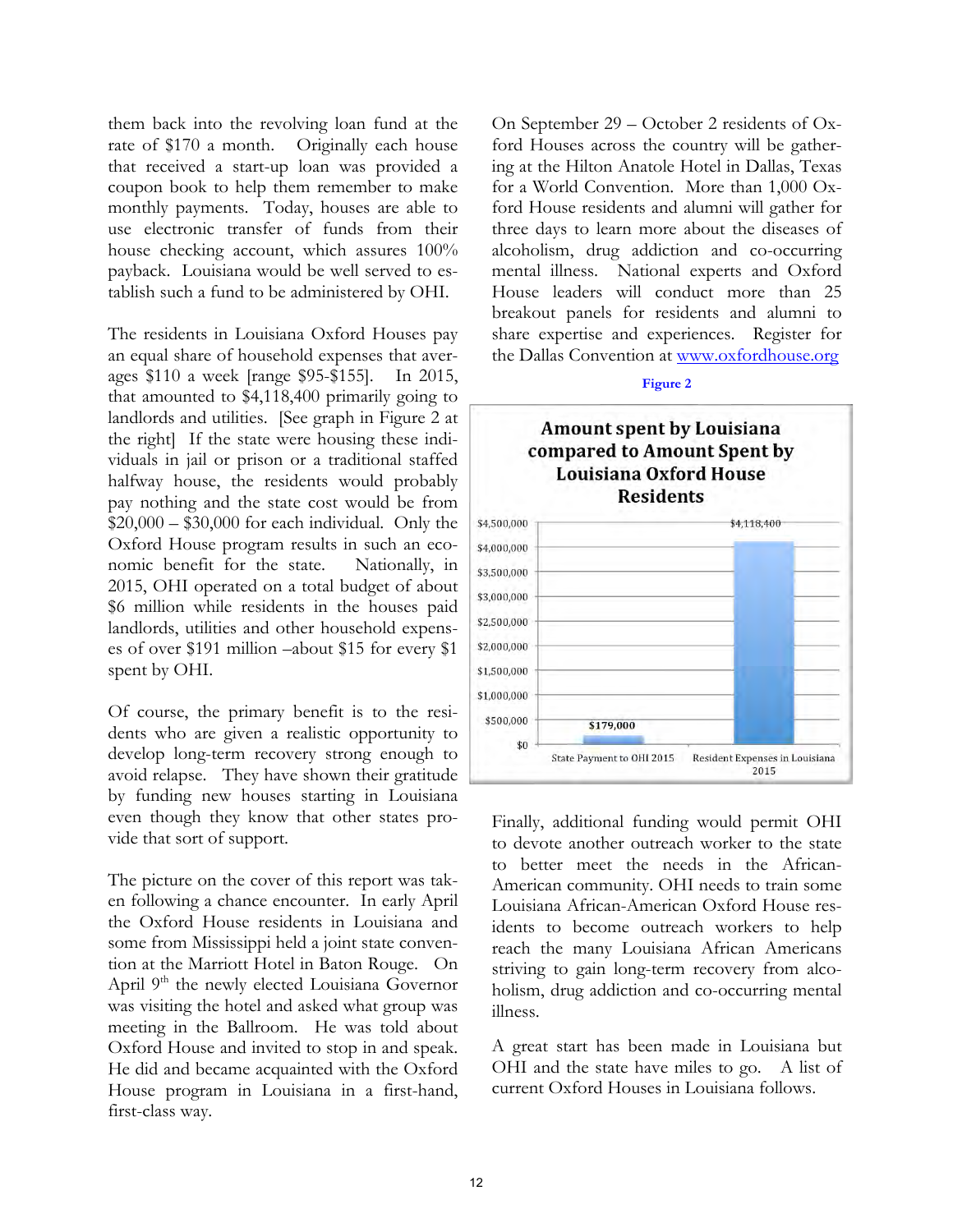them back into the revolving loan fund at the rate of \$170 a month. Originally each house that received a start-up loan was provided a coupon book to help them remember to make monthly payments. Today, houses are able to use electronic transfer of funds from their house checking account, which assures 100% payback. Louisiana would be well served to establish such a fund to be administered by OHI.

The residents in Louisiana Oxford Houses pay an equal share of household expenses that averages \$110 a week [range \$95-\$155]. In 2015, that amounted to \$4,118,400 primarily going to landlords and utilities. [See graph in Figure 2 at the right] If the state were housing these individuals in jail or prison or a traditional staffed halfway house, the residents would probably pay nothing and the state cost would be from  $$20,000 - $30,000$  for each individual. Only the Oxford House program results in such an economic benefit for the state. Nationally, in 2015, OHI operated on a total budget of about \$6 million while residents in the houses paid landlords, utilities and other household expenses of over \$191 million –about \$15 for every \$1 spent by OHI.

Of course, the primary benefit is to the residents who are given a realistic opportunity to develop long-term recovery strong enough to avoid relapse. They have shown their gratitude by funding new houses starting in Louisiana even though they know that other states provide that sort of support.

The picture on the cover of this report was taken following a chance encounter. In early April the Oxford House residents in Louisiana and some from Mississippi held a joint state convention at the Marriott Hotel in Baton Rouge. On April 9<sup>th</sup> the newly elected Louisiana Governor was visiting the hotel and asked what group was meeting in the Ballroom. He was told about Oxford House and invited to stop in and speak. He did and became acquainted with the Oxford House program in Louisiana in a first-hand, first-class way.

On September 29 – October 2 residents of Oxford Houses across the country will be gathering at the Hilton Anatole Hotel in Dallas, Texas for a World Convention. More than 1,000 Oxford House residents and alumni will gather for three days to learn more about the diseases of alcoholism, drug addiction and co-occurring mental illness. National experts and Oxford House leaders will conduct more than 25 breakout panels for residents and alumni to share expertise and experiences. Register for the Dallas Convention at www.oxfordhouse.org

#### **Figure 2**



Finally, additional funding would permit OHI to devote another outreach worker to the state to better meet the needs in the African-American community. OHI needs to train some Louisiana African-American Oxford House residents to become outreach workers to help reach the many Louisiana African Americans striving to gain long-term recovery from alcoholism, drug addiction and co-occurring mental illness.

A great start has been made in Louisiana but OHI and the state have miles to go. A list of current Oxford Houses in Louisiana follows.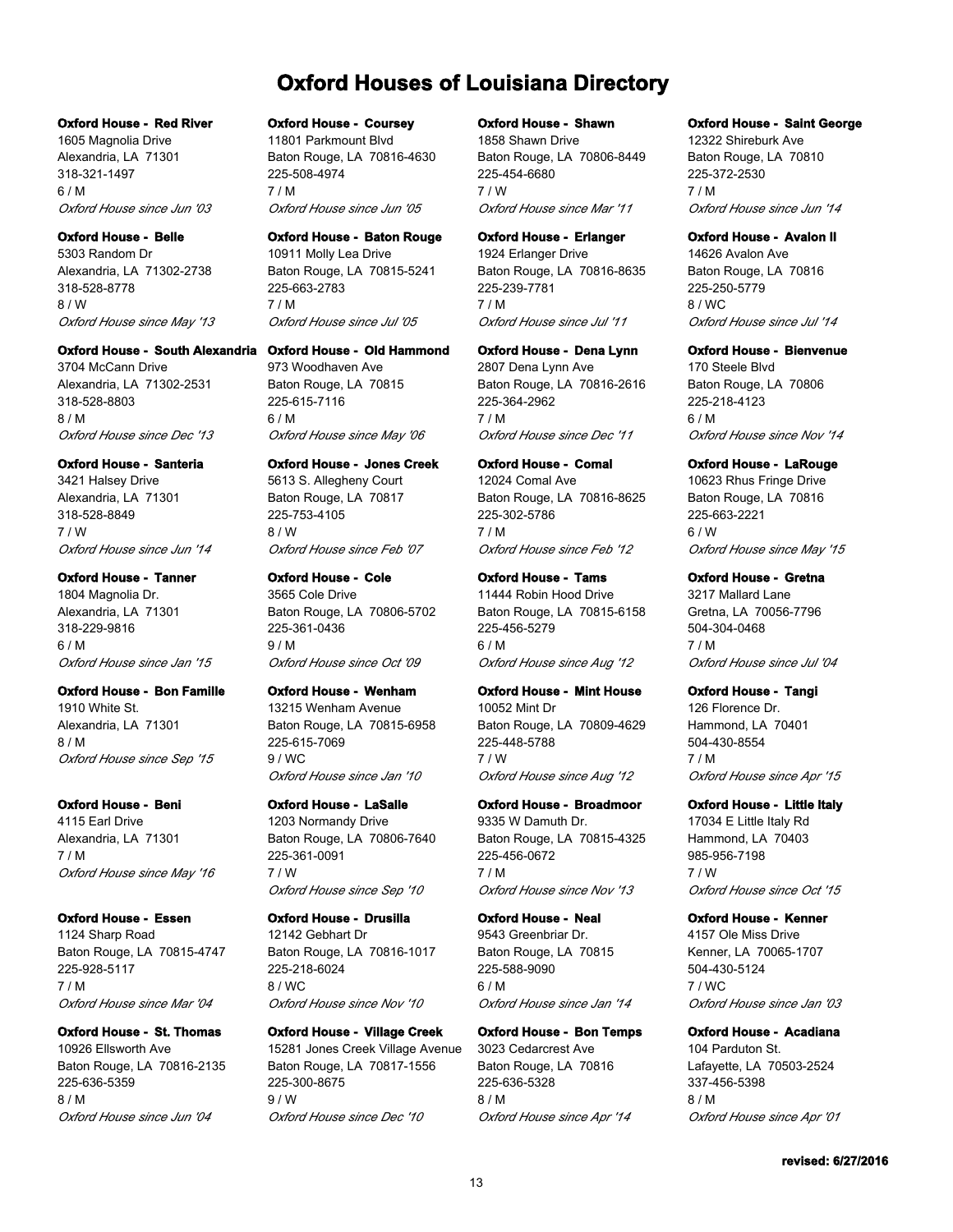## **Oxford Houses of Louisiana Directory**

#### **Oxford House - Red River**

1605 Magnolia Drive Alexandria, LA 71301 318-321-1497 6 / M *Oxford House since Jun '03*

**Oxford House - Belle** 5303 Random Dr Alexandria, LA 71302-2738 318-528-8778 8 / W *Oxford House since May '13*

## **Oxford House - South Alexandria**

3704 McCann Drive Alexandria, LA 71302-2531 318-528-8803 8 / M *Oxford House since Dec '13*

#### **Oxford House - Santeria**

3421 Halsey Drive Alexandria, LA 71301 318-528-8849 7 / W *Oxford House since Jun '14*

## **Oxford House - Tanner**

1804 Magnolia Dr. Alexandria, LA 71301 318-229-9816 6 / M *Oxford House since Jan '15*

#### **Oxford House - Bon Famille**

1910 White St. Alexandria, LA 71301 8 / M *Oxford House since Sep '15*

#### **Oxford House - Beni**

4115 Earl Drive Alexandria, LA 71301 7 / M *Oxford House since May '16*

## **Oxford House - Essen**

1124 Sharp Road Baton Rouge, LA 70815-4747 225-928-5117 7 / M *Oxford House since Mar '04*

#### **Oxford House - St. Thomas**

10926 Ellsworth Ave Baton Rouge, LA 70816-2135 225-636-5359 8 / M *Oxford House since Jun '04*

#### **Oxford House - Coursey**

11801 Parkmount Blvd Baton Rouge, LA 70816-4630 225-508-4974 7 / M *Oxford House since Jun '05*

#### **Oxford House - Baton Rouge**

10911 Molly Lea Drive Baton Rouge, LA 70815-5241 225-663-2783 7 / M *Oxford House since Jul '05*

#### **Oxford House - Old Hammond**

973 Woodhaven Ave Baton Rouge, LA 70815 225-615-7116 6 / M *Oxford House since May '06*

#### **Oxford House - Jones Creek**

5613 S. Allegheny Court Baton Rouge, LA 70817 225-753-4105 8 / W *Oxford House since Feb '07*

#### **Oxford House - Cole**

3565 Cole Drive Baton Rouge, LA 70806-5702 225-361-0436 9 / M *Oxford House since Oct '09*

## **Oxford House - Wenham**

13215 Wenham Avenue Baton Rouge, LA 70815-6958 225-615-7069 9 / WC *Oxford House since Jan '10*

#### **Oxford House - LaSalle**

1203 Normandy Drive Baton Rouge, LA 70806-7640 225-361-0091 7 / W *Oxford House since Sep '10*

## **Oxford House - Drusilla**

12142 Gebhart Dr Baton Rouge, LA 70816-1017 225-218-6024 8 / WC *Oxford House since Nov '10*

#### **Oxford House - Village Creek**

15281 Jones Creek Village Avenue Baton Rouge, LA 70817-1556 225-300-8675 9 / W *Oxford House since Dec '10*

#### **Oxford House - Shawn**

1858 Shawn Drive Baton Rouge, LA 70806-8449 225-454-6680 7 / W *Oxford House since Mar '11*

#### **Oxford House - Erlanger**

1924 Erlanger Drive Baton Rouge, LA 70816-8635 225-239-7781 7 / M *Oxford House since Jul '11*

#### **Oxford House - Dena Lynn**

2807 Dena Lynn Ave Baton Rouge, LA 70816-2616 225-364-2962 7 / M *Oxford House since Dec '11*

## **Oxford House - Comal**

12024 Comal Ave Baton Rouge, LA 70816-8625 225-302-5786 7 / M *Oxford House since Feb '12*

## **Oxford House - Tams**

11444 Robin Hood Drive Baton Rouge, LA 70815-6158 225-456-5279 6 / M *Oxford House since Aug '12*

## **Oxford House - Mint House**

10052 Mint Dr Baton Rouge, LA 70809-4629 225-448-5788 7 / W *Oxford House since Aug '12*

#### **Oxford House - Broadmoor**

9335 W Damuth Dr. Baton Rouge, LA 70815-4325 225-456-0672 7 / M *Oxford House since Nov '13*

## **Oxford House - Neal**

9543 Greenbriar Dr. Baton Rouge, LA 70815 225-588-9090 6 / M *Oxford House since Jan '14*

## **Oxford House - Bon Temps**

3023 Cedarcrest Ave Baton Rouge, LA 70816 225-636-5328 8 / M *Oxford House since Apr '14*

#### **Oxford House - Saint George**

12322 Shireburk Ave Baton Rouge, LA 70810 225-372-2530 7 / M *Oxford House since Jun '14*

## **Oxford House - Avalon II**

14626 Avalon Ave Baton Rouge, LA 70816 225-250-5779 8 / WC *Oxford House since Jul '14*

#### **Oxford House - Bienvenue**

170 Steele Blvd Baton Rouge, LA 70806 225-218-4123 6 / M *Oxford House since Nov '14*

#### **Oxford House - LaRouge**

10623 Rhus Fringe Drive Baton Rouge, LA 70816 225-663-2221 6 / W *Oxford House since May '15*

#### **Oxford House - Gretna**

3217 Mallard Lane Gretna, LA 70056-7796 504-304-0468 7 / M *Oxford House since Jul '04*

#### **Oxford House - Tangi**

126 Florence Dr. Hammond, LA 70401 504-430-8554 7 / M *Oxford House since Apr '15*

#### **Oxford House - Little Italy**

17034 E Little Italy Rd Hammond, LA 70403 985-956-7198 7 / W *Oxford House since Oct '15*

## **Oxford House - Kenner**

4157 Ole Miss Drive Kenner, LA 70065-1707 504-430-5124 7 / WC *Oxford House since Jan '03*

#### **Oxford House - Acadiana**

104 Parduton St. Lafayette, LA 70503-2524 337-456-5398 8 / M *Oxford House since Apr '01*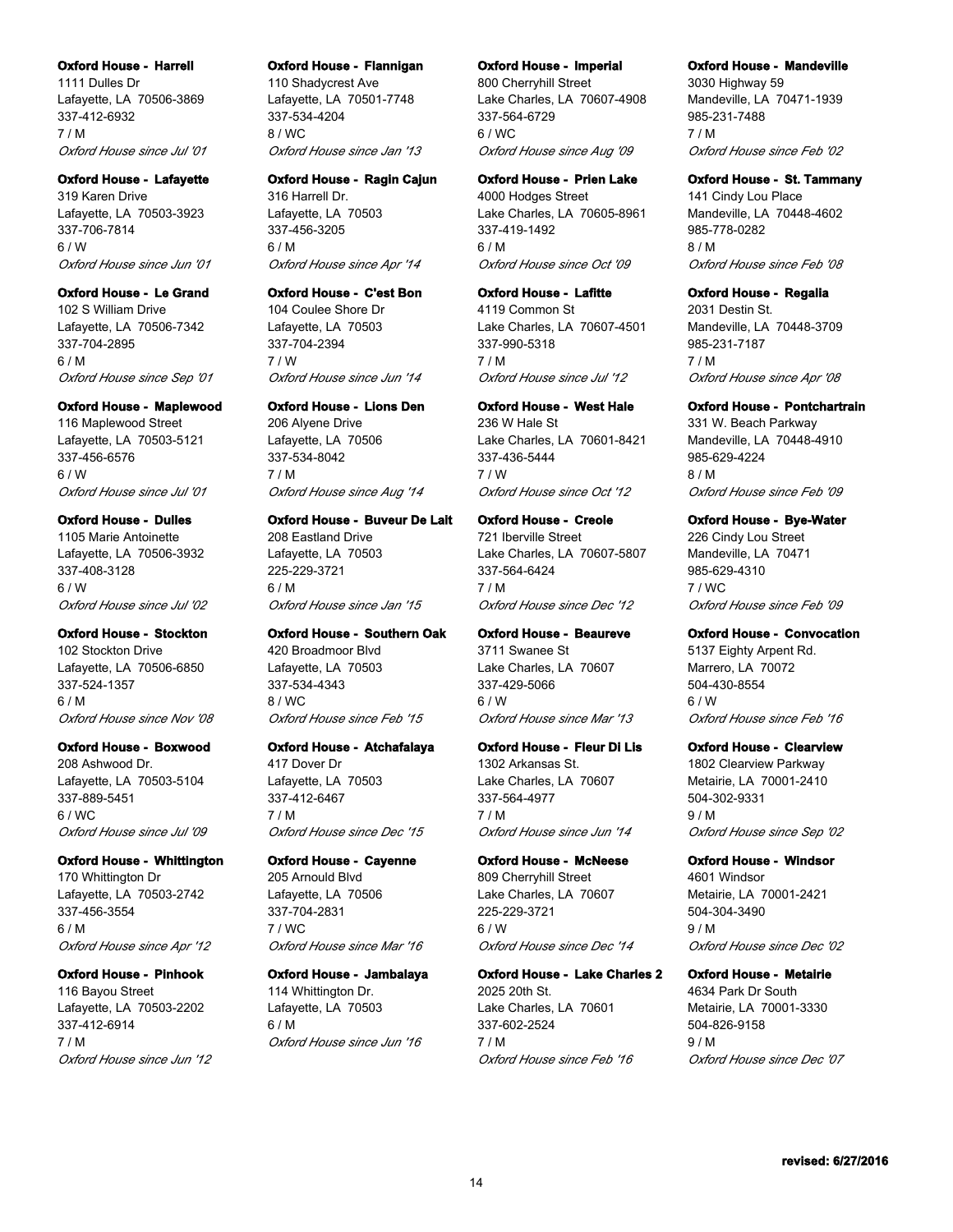#### **Oxford House - Harrell**

1111 Dulles Dr Lafayette, LA 70506-3869 337-412-6932 7 / M *Oxford House since Jul '01*

#### **Oxford House - Lafayette**

319 Karen Drive Lafayette, LA 70503-3923 337-706-7814 6 / W *Oxford House since Jun '01*

## **Oxford House - Le Grand**

102 S William Drive Lafayette, LA 70506-7342 337-704-2895 6 / M *Oxford House since Sep '01*

#### **Oxford House - Maplewood**

116 Maplewood Street Lafayette, LA 70503-5121 337-456-6576 6 / W *Oxford House since Jul '01*

#### **Oxford House - Dulles**

1105 Marie Antoinette Lafayette, LA 70506-3932 337-408-3128 6 / W *Oxford House since Jul '02*

#### **Oxford House - Stockton**

102 Stockton Drive Lafayette, LA 70506-6850 337-524-1357 6 / M *Oxford House since Nov '08*

#### **Oxford House - Boxwood**

208 Ashwood Dr. Lafayette, LA 70503-5104 337-889-5451 6 / WC *Oxford House since Jul '09*

#### **Oxford House - Whittington**

170 Whittington Dr Lafayette, LA 70503-2742 337-456-3554 6 / M *Oxford House since Apr '12*

#### **Oxford House - Pinhook**

116 Bayou Street Lafayette, LA 70503-2202 337-412-6914 7 / M *Oxford House since Jun '12*

#### **Oxford House - Flannigan**

110 Shadycrest Ave Lafayette, LA 70501-7748 337-534-4204 8 / WC *Oxford House since Jan '13*

## **Oxford House - Ragin Cajun**

316 Harrell Dr. Lafayette, LA 70503 337-456-3205 6 / M *Oxford House since Apr '14*

#### **Oxford House - C'est Bon**

104 Coulee Shore Dr Lafayette, LA 70503 337-704-2394 7 / W *Oxford House since Jun '14*

#### **Oxford House - Lions Den**

206 Alyene Drive Lafayette, LA 70506 337-534-8042 7 / M *Oxford House since Aug '14*

#### **Oxford House - Buveur De Lait**

208 Eastland Drive Lafayette, LA 70503 225-229-3721 6 / M *Oxford House since Jan '15*

#### **Oxford House - Southern Oak**

420 Broadmoor Blvd Lafayette, LA 70503 337-534-4343 8 / WC *Oxford House since Feb '15*

#### **Oxford House - Atchafalaya**

417 Dover Dr Lafayette, LA 70503 337-412-6467 7 / M *Oxford House since Dec '15*

#### **Oxford House - Cayenne**

205 Arnould Blvd Lafayette, LA 70506 337-704-2831 7 / WC *Oxford House since Mar '16*

## **Oxford House - Jambalaya**

114 Whittington Dr. Lafayette, LA 70503 6 / M *Oxford House since Jun '16*

#### **Oxford House - Imperial**

800 Cherryhill Street Lake Charles, LA 70607-4908 337-564-6729 6 / WC *Oxford House since Aug '09*

## **Oxford House - Prien Lake**

4000 Hodges Street Lake Charles, LA 70605-8961 337-419-1492 6 / M *Oxford House since Oct '09*

#### **Oxford House - Lafitte**

4119 Common St Lake Charles, LA 70607-4501 337-990-5318 7 / M *Oxford House since Jul '12*

#### **Oxford House - West Hale**

236 W Hale St Lake Charles, LA 70601-8421 337-436-5444 7 / W *Oxford House since Oct '12*

#### **Oxford House - Creole**

721 Iberville Street Lake Charles, LA 70607-5807 337-564-6424 7 / M *Oxford House since Dec '12*

## **Oxford House - Beaureve**

3711 Swanee St Lake Charles, LA 70607 337-429-5066 6 / W *Oxford House since Mar '13*

#### **Oxford House - Fleur Di Lis**

1302 Arkansas St. Lake Charles, LA 70607 337-564-4977 7 / M *Oxford House since Jun '14*

#### **Oxford House - McNeese**

809 Cherryhill Street Lake Charles, LA 70607 225-229-3721 6 / W *Oxford House since Dec '14*

## **Oxford House - Lake Charles 2**

2025 20th St. Lake Charles, LA 70601 337-602-2524 7 / M *Oxford House since Feb '16*

#### **Oxford House - Mandeville**

3030 Highway 59 Mandeville, LA 70471-1939 985-231-7488 7 / M *Oxford House since Feb '02*

## **Oxford House - St. Tammany**

141 Cindy Lou Place Mandeville, LA 70448-4602 985-778-0282 8 / M *Oxford House since Feb '08*

#### **Oxford House - Regalia**

2031 Destin St. Mandeville, LA 70448-3709 985-231-7187 7 / M *Oxford House since Apr '08*

#### **Oxford House - Pontchartrain**

331 W. Beach Parkway Mandeville, LA 70448-4910 985-629-4224 8 / M *Oxford House since Feb '09*

#### **Oxford House - Bye-Water**

226 Cindy Lou Street Mandeville, LA 70471 985-629-4310 7 / WC *Oxford House since Feb '09*

#### **Oxford House - Convocation**

5137 Eighty Arpent Rd. Marrero, LA 70072 504-430-8554 6 / W *Oxford House since Feb '16*

#### **Oxford House - Clearview**

1802 Clearview Parkway Metairie, LA 70001-2410 504-302-9331 9 / M *Oxford House since Sep '02*

#### **Oxford House - Windsor**

4601 Windsor Metairie, LA 70001-2421 504-304-3490 9 / M *Oxford House since Dec '02*

## **Oxford House - Metairie**

4634 Park Dr South Metairie, LA 70001-3330 504-826-9158 9 / M *Oxford House since Dec '07*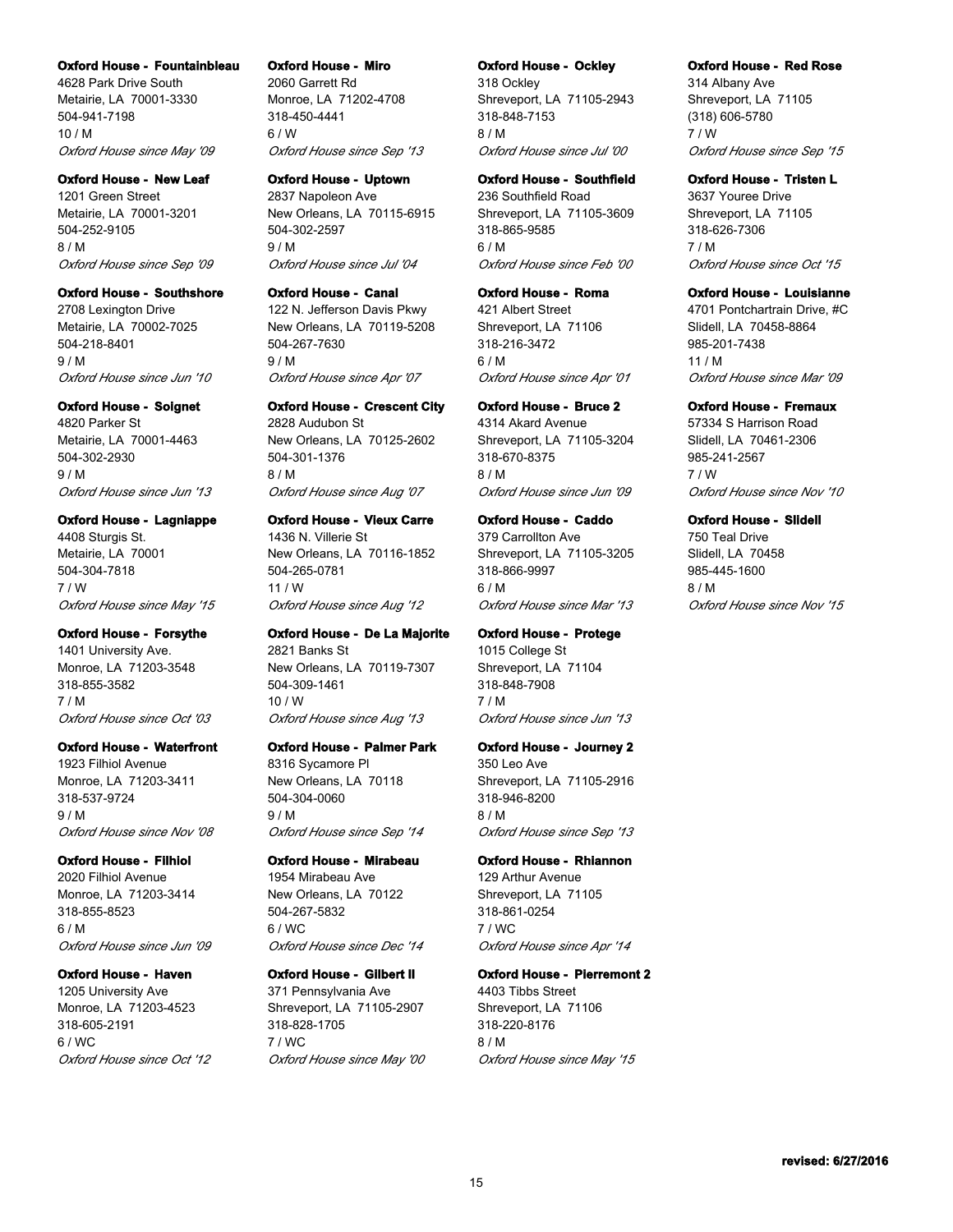#### **Oxford House - Fountainbleau**

4628 Park Drive South Metairie, LA 70001-3330 504-941-7198 10 / M *Oxford House since May '09*

#### **Oxford House - New Leaf**

1201 Green Street Metairie, LA 70001-3201 504-252-9105 8 / M *Oxford House since Sep '09*

#### **Oxford House - Southshore**

2708 Lexington Drive Metairie, LA 70002-7025 504-218-8401 9 / M *Oxford House since Jun '10*

#### **Oxford House - Soignet**

4820 Parker St Metairie, LA 70001-4463 504-302-2930 9 / M *Oxford House since Jun '13*

#### **Oxford House - Lagniappe**

4408 Sturgis St. Metairie, LA 70001 504-304-7818 7 / W *Oxford House since May '15*

#### **Oxford House - Forsythe**

1401 University Ave. Monroe, LA 71203-3548 318-855-3582 7 / M *Oxford House since Oct '03*

#### **Oxford House - Waterfront**

1923 Filhiol Avenue Monroe, LA 71203-3411 318-537-9724 9 / M *Oxford House since Nov '08*

## **Oxford House - Filhiol**

2020 Filhiol Avenue Monroe, LA 71203-3414 318-855-8523 6 / M *Oxford House since Jun '09*

#### **Oxford House - Haven**

1205 University Ave Monroe, LA 71203-4523 318-605-2191  $6 / WC$ *Oxford House since Oct '12*

#### **Oxford House - Miro**

2060 Garrett Rd Monroe, LA 71202-4708 318-450-4441 6 / W *Oxford House since Sep '13*

## **Oxford House - Uptown**

2837 Napoleon Ave New Orleans, LA 70115-6915 504-302-2597 9 / M *Oxford House since Jul '04*

#### **Oxford House - Canal**

122 N. Jefferson Davis Pkwy New Orleans, LA 70119-5208 504-267-7630 9 / M *Oxford House since Apr '07*

#### **Oxford House - Crescent City**

2828 Audubon St New Orleans, LA 70125-2602 504-301-1376 8 / M *Oxford House since Aug '07*

#### **Oxford House - Vieux Carre**

1436 N. Villerie St New Orleans, LA 70116-1852 504-265-0781 11 / W *Oxford House since Aug '12*

#### **Oxford House - De La Majorite**

2821 Banks St New Orleans, LA 70119-7307 504-309-1461 10 / W *Oxford House since Aug '13*

#### **Oxford House - Palmer Park**

8316 Sycamore Pl New Orleans, LA 70118 504-304-0060 9 / M *Oxford House since Sep '14*

#### **Oxford House - Mirabeau**

1954 Mirabeau Ave New Orleans, LA 70122 504-267-5832 6 / WC *Oxford House since Dec '14*

## **Oxford House - Gilbert II**

371 Pennsylvania Ave Shreveport, LA 71105-2907 318-828-1705 7 / WC *Oxford House since May '00*

#### **Oxford House - Ockley**

318 Ockley Shreveport, LA 71105-2943 318-848-7153 8 / M *Oxford House since Jul '00*

## **Oxford House - Southfield**

236 Southfield Road Shreveport, LA 71105-3609 318-865-9585 6 / M *Oxford House since Feb '00*

#### **Oxford House - Roma**

421 Albert Street Shreveport, LA 71106 318-216-3472 6 / M *Oxford House since Apr '01*

#### **Oxford House - Bruce 2**

4314 Akard Avenue Shreveport, LA 71105-3204 318-670-8375 8 / M *Oxford House since Jun '09*

#### **Oxford House - Caddo**

379 Carrollton Ave Shreveport, LA 71105-3205 318-866-9997 6 / M *Oxford House since Mar '13*

#### **Oxford House - Protege**

1015 College St Shreveport, LA 71104 318-848-7908 7 / M *Oxford House since Jun '13*

#### **Oxford House - Journey 2**

350 Leo Ave Shreveport, LA 71105-2916 318-946-8200 8 / M *Oxford House since Sep '13*

#### **Oxford House - Rhiannon**

129 Arthur Avenue Shreveport, LA 71105 318-861-0254 7 / WC *Oxford House since Apr '14*

## **Oxford House - Pierremont 2**

4403 Tibbs Street Shreveport, LA 71106 318-220-8176 8 / M *Oxford House since May '15*

#### **Oxford House - Red Rose**

314 Albany Ave Shreveport, LA 71105 (318) 606-5780 7 / W *Oxford House since Sep '15*

## **Oxford House - Tristen L**

3637 Youree Drive Shreveport, LA 71105 318-626-7306 7 / M *Oxford House since Oct '15*

#### **Oxford House - Louisianne**

4701 Pontchartrain Drive, #C Slidell, LA 70458-8864 985-201-7438 11 / M *Oxford House since Mar '09*

#### **Oxford House - Fremaux**

57334 S Harrison Road Slidell, LA 70461-2306 985-241-2567 7 / W *Oxford House since Nov '10*

#### **Oxford House - Slidell**

750 Teal Drive Slidell, LA 70458 985-445-1600 8 / M *Oxford House since Nov '15*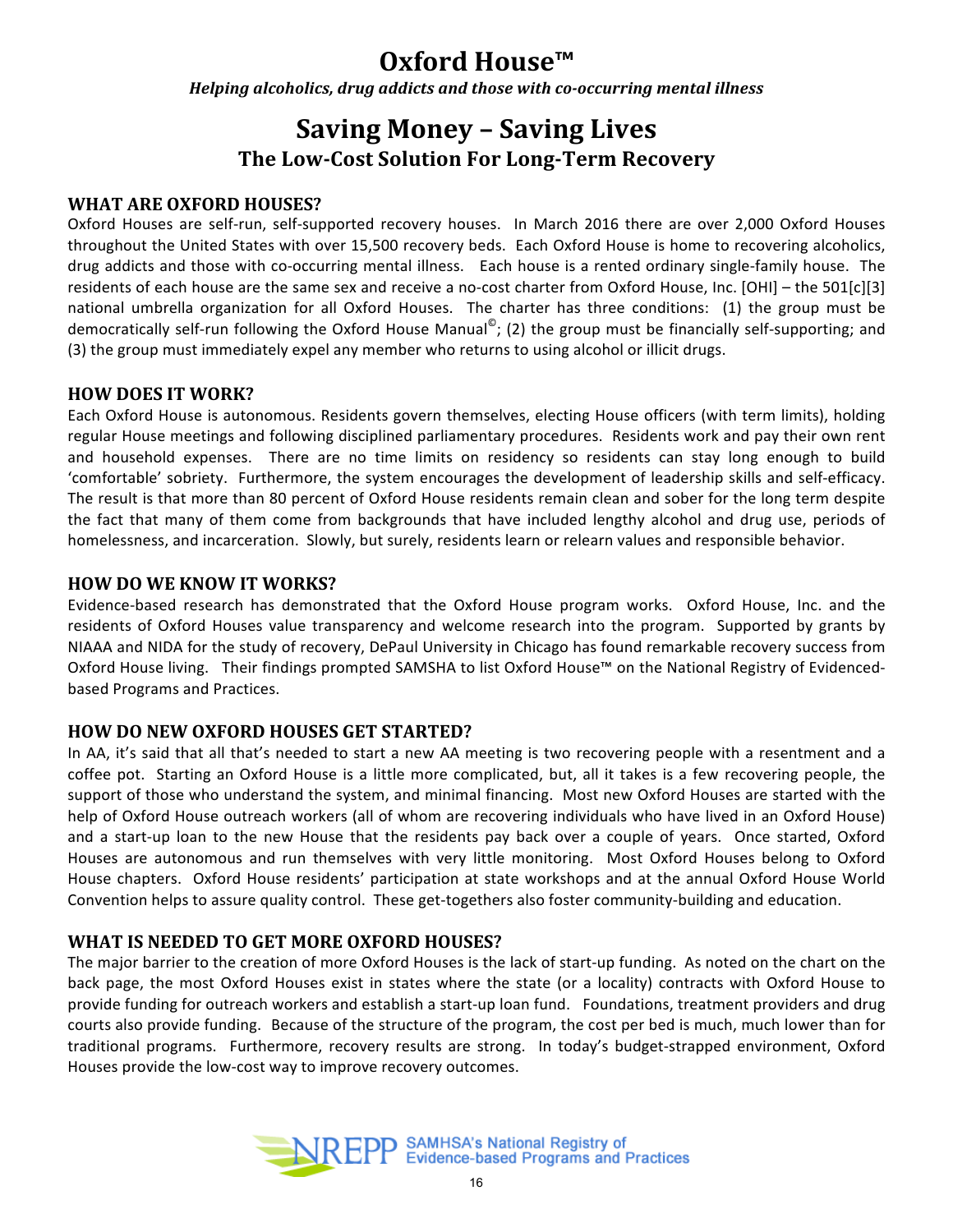## **Oxford House™**

*Helping alcoholics, drug addicts and those with co-occurring mental illness* 

## **Saving Money - Saving Lives The Low-Cost Solution For Long-Term Recovery**

## **WHAT ARE OXFORD HOUSES?**

Oxford Houses are self-run, self-supported recovery houses. In March 2016 there are over 2,000 Oxford Houses throughout the United States with over 15,500 recovery beds. Each Oxford House is home to recovering alcoholics, drug addicts and those with co-occurring mental illness. Each house is a rented ordinary single-family house. The residents of each house are the same sex and receive a no-cost charter from Oxford House, Inc. [OHI] – the 501[c][3] national umbrella organization for all Oxford Houses. The charter has three conditions: (1) the group must be democratically self-run following the Oxford House Manual<sup>©</sup>; (2) the group must be financially self-supporting; and (3) the group must immediately expel any member who returns to using alcohol or illicit drugs.

## **HOW DOES IT WORK?**

Each Oxford House is autonomous. Residents govern themselves, electing House officers (with term limits), holding regular House meetings and following disciplined parliamentary procedures. Residents work and pay their own rent and household expenses. There are no time limits on residency so residents can stay long enough to build 'comfortable' sobriety. Furthermore, the system encourages the development of leadership skills and self-efficacy. The result is that more than 80 percent of Oxford House residents remain clean and sober for the long term despite the fact that many of them come from backgrounds that have included lengthy alcohol and drug use, periods of homelessness, and incarceration. Slowly, but surely, residents learn or relearn values and responsible behavior.

## **HOW DO WE KNOW IT WORKS?**

Evidence-based research has demonstrated that the Oxford House program works. Oxford House, Inc. and the residents of Oxford Houses value transparency and welcome research into the program. Supported by grants by NIAAA and NIDA for the study of recovery, DePaul University in Chicago has found remarkable recovery success from Oxford House living. Their findings prompted SAMSHA to list Oxford House™ on the National Registry of Evidencedbased Programs and Practices.

## **HOW DO NEW OXFORD HOUSES GET STARTED?**

In AA, it's said that all that's needed to start a new AA meeting is two recovering people with a resentment and a coffee pot. Starting an Oxford House is a little more complicated, but, all it takes is a few recovering people, the support of those who understand the system, and minimal financing. Most new Oxford Houses are started with the help of Oxford House outreach workers (all of whom are recovering individuals who have lived in an Oxford House) and a start-up loan to the new House that the residents pay back over a couple of years. Once started, Oxford Houses are autonomous and run themselves with very little monitoring. Most Oxford Houses belong to Oxford House chapters. Oxford House residents' participation at state workshops and at the annual Oxford House World Convention helps to assure quality control. These get-togethers also foster community-building and education.

## **WHAT IS NEEDED TO GET MORE OXFORD HOUSES?**

The major barrier to the creation of more Oxford Houses is the lack of start-up funding. As noted on the chart on the back page, the most Oxford Houses exist in states where the state (or a locality) contracts with Oxford House to provide funding for outreach workers and establish a start-up loan fund. Foundations, treatment providers and drug courts also provide funding. Because of the structure of the program, the cost per bed is much, much lower than for traditional programs. Furthermore, recovery results are strong. In today's budget-strapped environment, Oxford Houses provide the low-cost way to improve recovery outcomes.

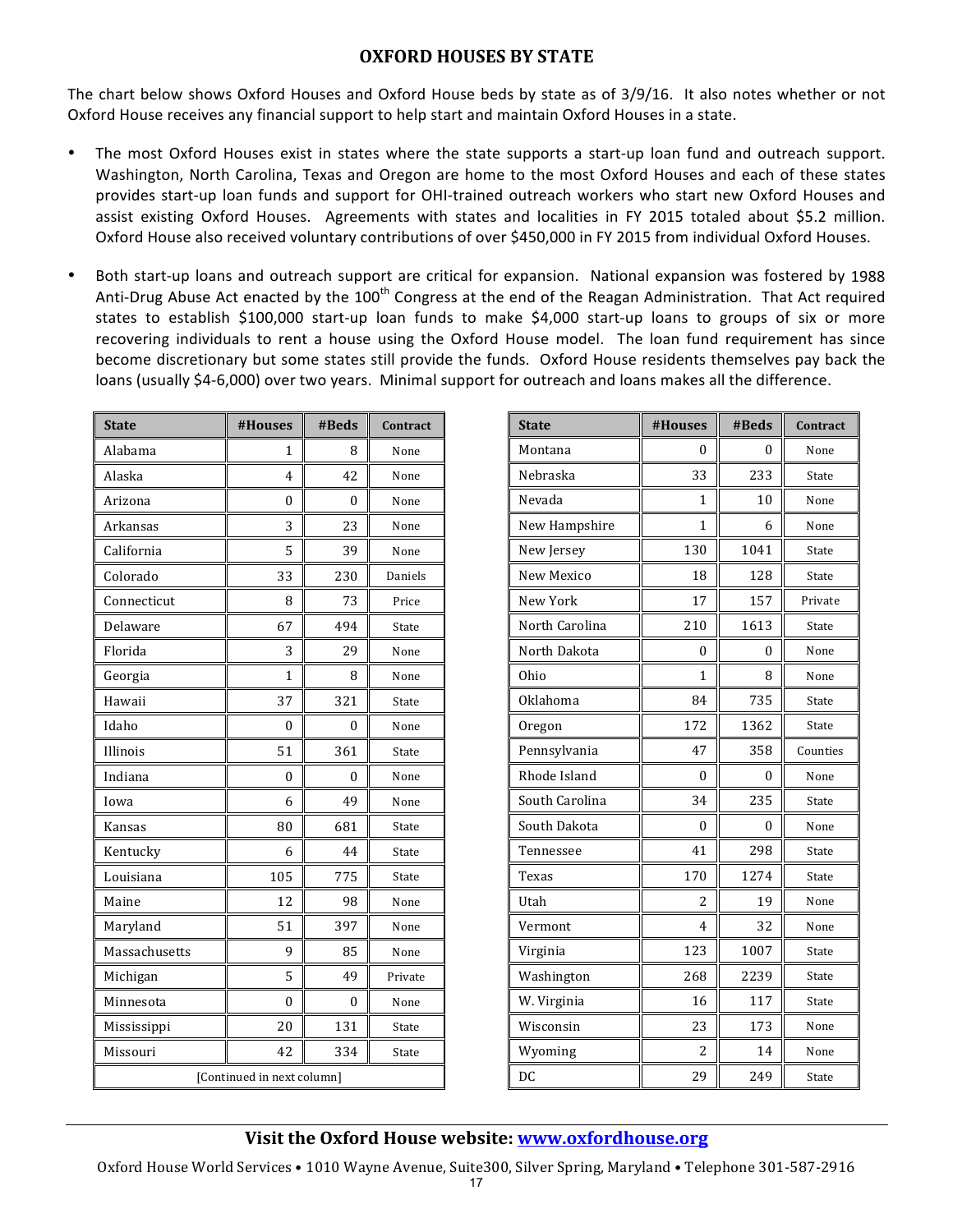## **OXFORD HOUSES BY STATE**

The chart below shows Oxford Houses and Oxford House beds by state as of 3/9/16. It also notes whether or not Oxford House receives any financial support to help start and maintain Oxford Houses in a state.

- The most Oxford Houses exist in states where the state supports a start-up loan fund and outreach support. Washington, North Carolina, Texas and Oregon are home to the most Oxford Houses and each of these states provides start-up loan funds and support for OHI-trained outreach workers who start new Oxford Houses and assist existing Oxford Houses. Agreements with states and localities in FY 2015 totaled about \$5.2 million. Oxford House also received voluntary contributions of over \$450,000 in FY 2015 from individual Oxford Houses.
- Both start-up loans and outreach support are critical for expansion. National expansion was fostered by 1988 Anti-Drug Abuse Act enacted by the  $100<sup>th</sup>$  Congress at the end of the Reagan Administration. That Act required states to establish \$100,000 start-up loan funds to make \$4,000 start-up loans to groups of six or more recovering individuals to rent a house using the Oxford House model. The loan fund requirement has since become discretionary but some states still provide the funds. Oxford House residents themselves pay back the loans (usually \$4-6,000) over two years. Minimal support for outreach and loans makes all the difference.

| <b>State</b>               | #Houses | #Beds | Contract |
|----------------------------|---------|-------|----------|
| Alabama                    | 1       | 8     | None     |
| Alaska                     | 4       | 42    | None     |
| Arizona                    | 0       | 0     | None     |
| Arkansas                   | 3       | 23    | None     |
| California                 | 5       | 39    | None     |
| Colorado                   | 33      | 230   | Daniels  |
| Connecticut                | 8       | 73    | Price    |
| Delaware                   | 67      | 494   | State    |
| Florida                    | 3       | 29    | None     |
| Georgia                    | 1       | 8     | None     |
| Hawaii                     | 37      | 321   | State    |
| Idaho                      | 0       | 0     | None     |
| Illinois                   | 51      | 361   | State    |
| Indiana                    | 0       | 0     | None     |
| Iowa                       | 6       | 49    | None     |
| Kansas                     | 80      | 681   | State    |
| Kentucky                   | 6       | 44    | State    |
| Louisiana                  | 105     | 775   | State    |
| Maine                      | 12      | 98    | None     |
| Maryland                   | 51      | 397   | None     |
| Massachusetts              | 9       | 85    | None     |
| Michigan                   | 5       | 49    | Private  |
| Minnesota                  | 0       | 0     | None     |
| Mississippi                | 20      | 131   | State    |
| Missouri                   | 42      | 334   | State    |
| [Continued in next column] |         |       |          |

| <b>State</b>   | #Houses  | #Beds    | Contract |
|----------------|----------|----------|----------|
| Montana        | 0        | 0        | None     |
| Nebraska       | 33       | 233      | State    |
| Nevada         | 1        | 10       | None     |
| New Hampshire  | 1        | 6        | None     |
| New Jersey     | 130      | 1041     | State    |
| New Mexico     | 18       | 128      | State    |
| New York       | 17       | 157      | Private  |
| North Carolina | 210      | 1613     | State    |
| North Dakota   | 0        | 0        | None     |
| Ohio           | 1        | 8        | None     |
| Oklahoma       | 84       | 735      | State    |
| Oregon         | 172      | 1362     | State    |
| Pennsylvania   | 47       | 358      | Counties |
| Rhode Island   | $\theta$ | $\theta$ | None     |
| South Carolina | 34       | 235      | State    |
| South Dakota   | 0        | 0        | None     |
| Tennessee      | 41       | 298      | State    |
| Texas          | 170      | 1274     | State    |
| Utah           | 2        | 19       | None     |
| Vermont        | 4        | 32       | None     |
| Virginia       | 123      | 1007     | State    |
| Washington     | 268      | 2239     | State    |
| W. Virginia    | 16       | 117      | State    |
| Wisconsin      | 23       | 173      | None     |
| Wyoming        | 2        | 14       | None     |
| DC             | 29       | 249      | State    |

## **Visit the Oxford House website: www.oxfordhouse.org**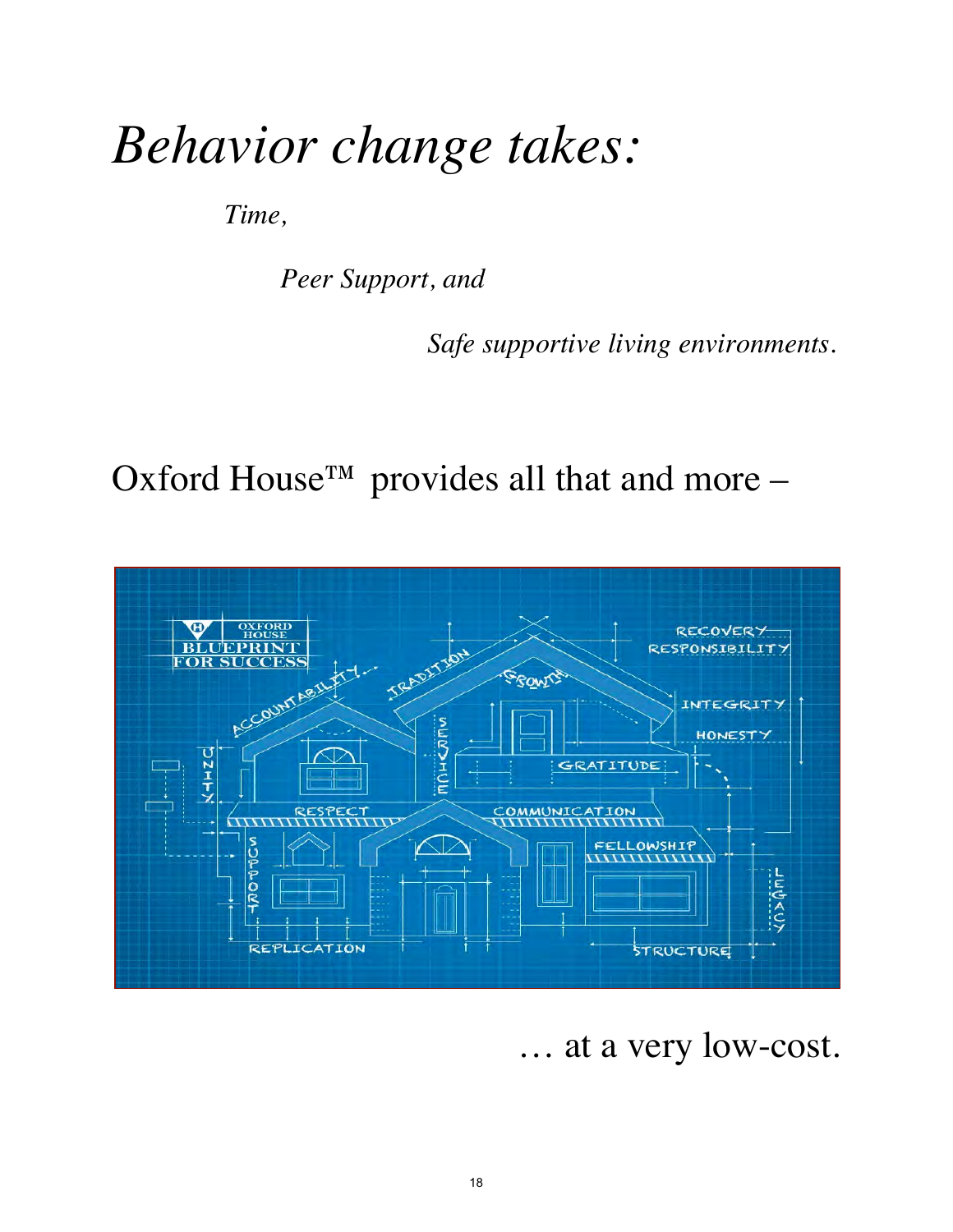# *Behavior change takes:*

*Time,*

*Peer Support, and* 

*Safe supportive living environments.* 

Oxford House<sup>TM</sup> provides all that and more –



… at a very low-cost.